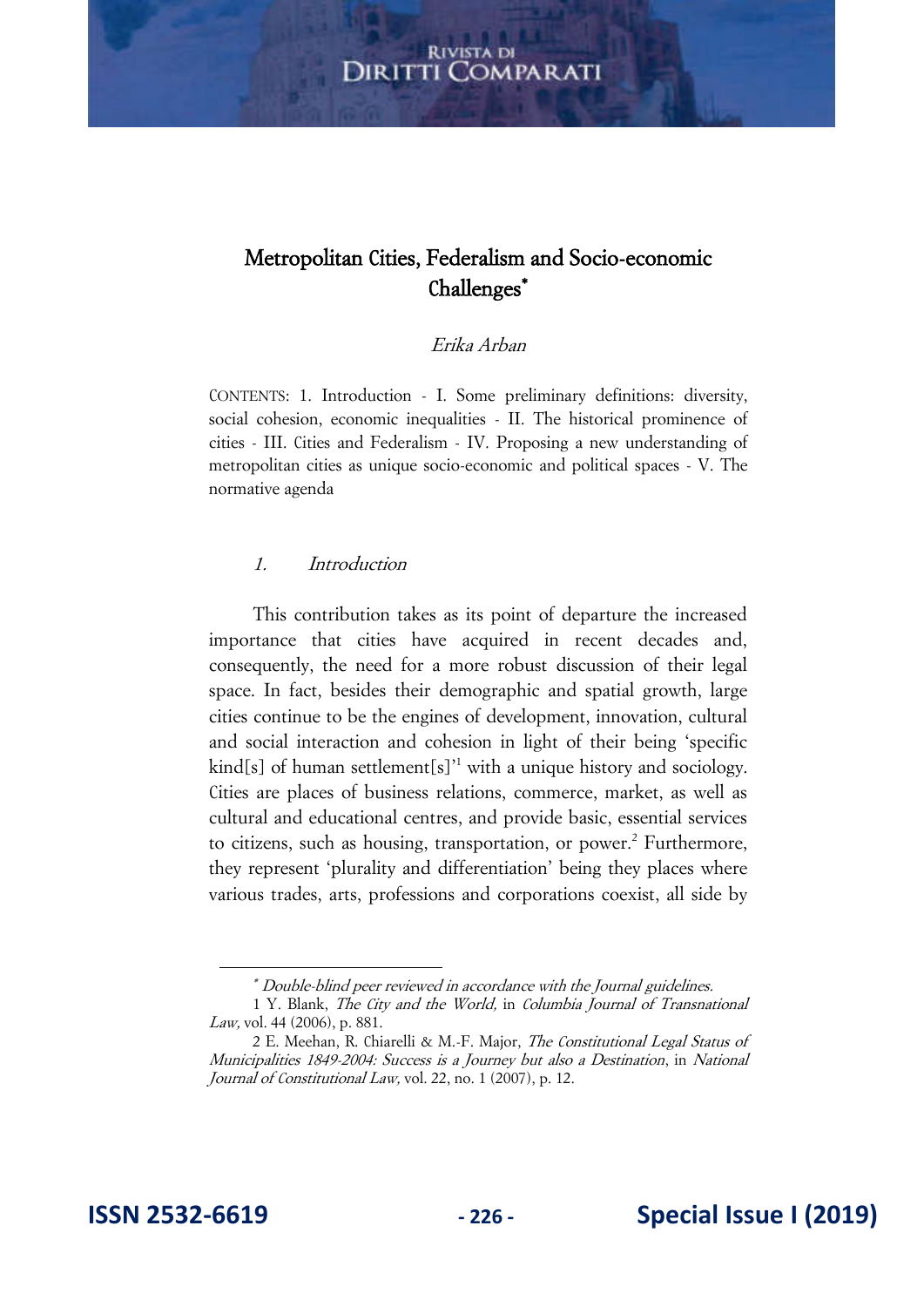#### **RIVISTA DI** Diritti ( **COMPARATI**

# Metropolitan Cities, Federalism and Socio-economic Challenges<sup>\*</sup>

#### Erika Arban

CONTENTS: 1. Introduction - I. Some preliminary definitions: diversity, social cohesion, economic inequalities - II. The historical prominence of cities - III. Cities and Federalism - IV. Proposing a new understanding of metropolitan cities as unique socio-economic and political spaces - V. The normative agenda

#### 1. Introduction

This contribution takes as its point of departure the increased importance that cities have acquired in recent decades and, consequently, the need for a more robust discussion of their legal space. In fact, besides their demographic and spatial growth, large cities continue to be the engines of development, innovation, cultural and social interaction and cohesion in light of their being 'specific kind[s] of human settlement[s]<sup>'1</sup> with a unique history and sociology. Cities are places of business relations, commerce, market, as well as cultural and educational centres, and provide basic, essential services to citizens, such as housing, transportation, or power.<sup>2</sup> Furthermore, they represent 'plurality and differentiation' being they places where various trades, arts, professions and corporations coexist, all side by

 Double-blind peer reviewed in accordance with the Journal guidelines.

<sup>1</sup> Y. Blank, The City and the World, in Columbia Journal of Transnational Law, vol. 44 (2006), p. 881.

<sup>2</sup> E. Meehan, R. Chiarelli & M.-F. Major, The Constitutional Legal Status of Municipalities 1849-2004: Success is a Journey but also a Destination, in National Journal of Constitutional Law, vol. 22, no. 1 (2007), p. 12.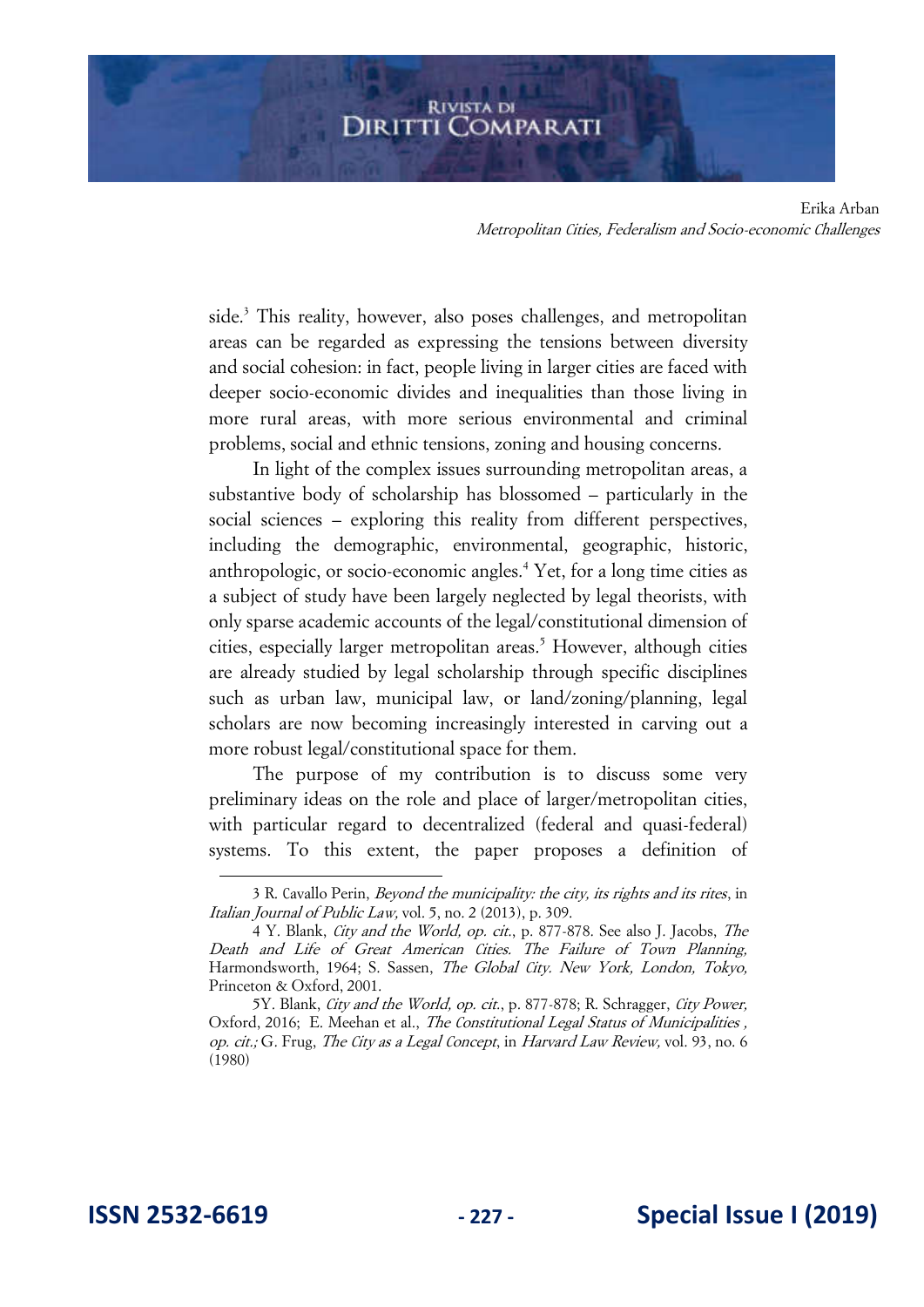side.<sup>3</sup> This reality, however, also poses challenges, and metropolitan areas can be regarded as expressing the tensions between diversity and social cohesion: in fact, people living in larger cities are faced with deeper socio-economic divides and inequalities than those living in more rural areas, with more serious environmental and criminal problems, social and ethnic tensions, zoning and housing concerns.

In light of the complex issues surrounding metropolitan areas, a substantive body of scholarship has blossomed – particularly in the social sciences – exploring this reality from different perspectives, including the demographic, environmental, geographic, historic, anthropologic, or socio-economic angles.<sup>4</sup> Yet, for a long time cities as a subject of study have been largely neglected by legal theorists, with only sparse academic accounts of the legal/constitutional dimension of cities, especially larger metropolitan areas.<sup>5</sup> However, although cities are already studied by legal scholarship through specific disciplines such as urban law, municipal law, or land/zoning/planning, legal scholars are now becoming increasingly interested in carving out a more robust legal/constitutional space for them.

The purpose of my contribution is to discuss some very preliminary ideas on the role and place of larger/metropolitan cities, with particular regard to decentralized (federal and quasi-federal) systems. To this extent, the paper proposes a definition of

<sup>3</sup> R. Cavallo Perin, Beyond the municipality: the city, its rights and its rites, in Italian Journal of Public Law, vol. 5, no. 2 (2013), p. 309.

<sup>4</sup> Y. Blank, City and the World, op. cit., p. 877-878. See also J. Jacobs, The Death and Life of Great American Cities. The Failure of Town Planning, Harmondsworth, 1964; S. Sassen, The Global City. New York, London, Tokyo, Princeton & Oxford, 2001.

<sup>5</sup>Y. Blank, City and the World, op. cit., p. 877-878; R. Schragger, City Power, Oxford, 2016; E. Meehan et al., *The Constitutional Legal Status of Municipalities*, op. cit.; G. Frug, The City as a Legal Concept, in Harvard Law Review, vol. 93, no. 6 (1980)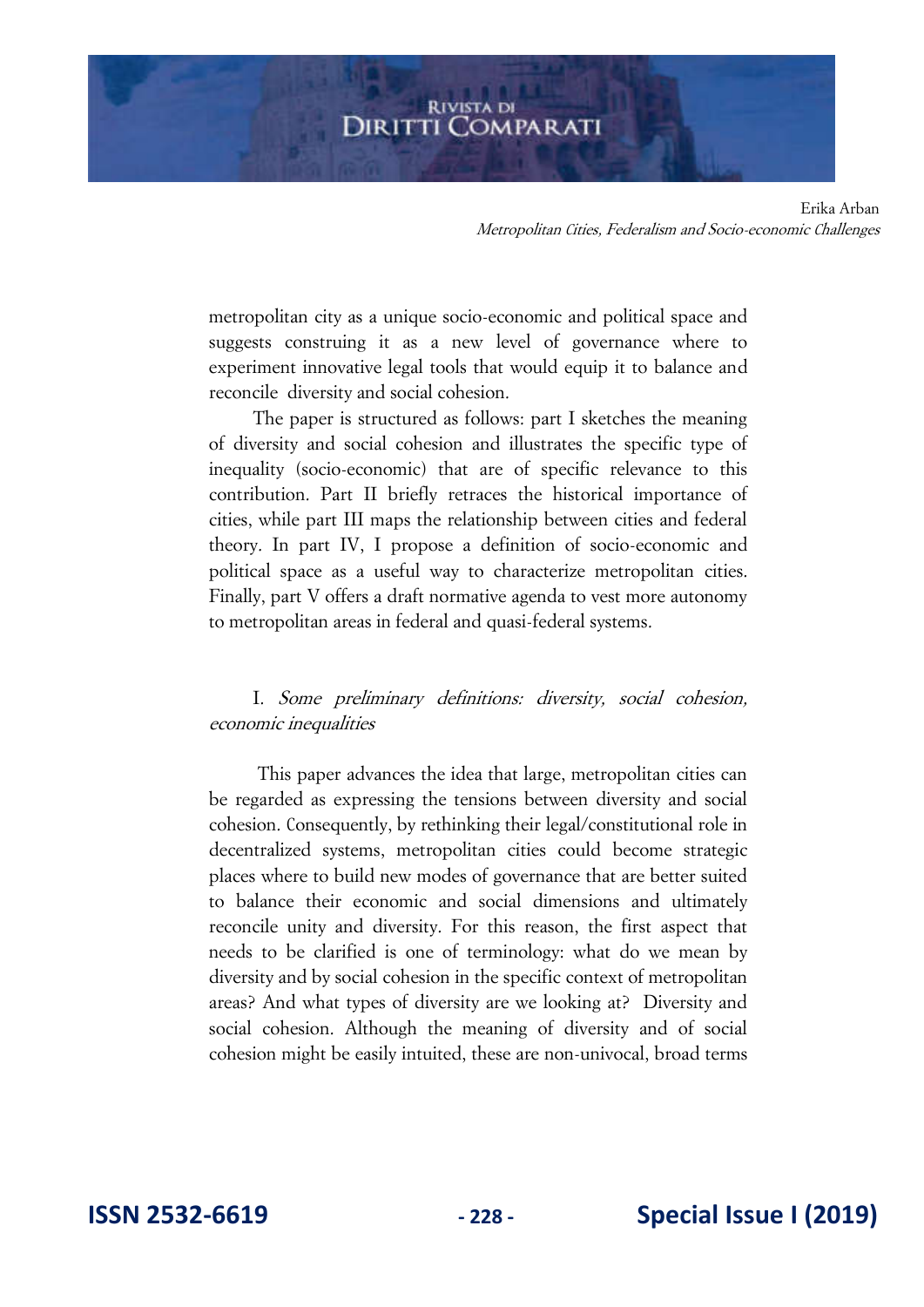metropolitan city as a unique socio-economic and political space and suggests construing it as a new level of governance where to experiment innovative legal tools that would equip it to balance and reconcile diversity and social cohesion.

The paper is structured as follows: part I sketches the meaning of diversity and social cohesion and illustrates the specific type of inequality (socio-economic) that are of specific relevance to this contribution. Part II briefly retraces the historical importance of cities, while part III maps the relationship between cities and federal theory. In part IV, I propose a definition of socio-economic and political space as a useful way to characterize metropolitan cities. Finally, part V offers a draft normative agenda to vest more autonomy to metropolitan areas in federal and quasi-federal systems.

# I. Some preliminary definitions: diversity, social cohesion, economic inequalities

 This paper advances the idea that large, metropolitan cities can be regarded as expressing the tensions between diversity and social cohesion. Consequently, by rethinking their legal/constitutional role in decentralized systems, metropolitan cities could become strategic places where to build new modes of governance that are better suited to balance their economic and social dimensions and ultimately reconcile unity and diversity. For this reason, the first aspect that needs to be clarified is one of terminology: what do we mean by diversity and by social cohesion in the specific context of metropolitan areas? And what types of diversity are we looking at? Diversity and social cohesion. Although the meaning of diversity and of social cohesion might be easily intuited, these are non-univocal, broad terms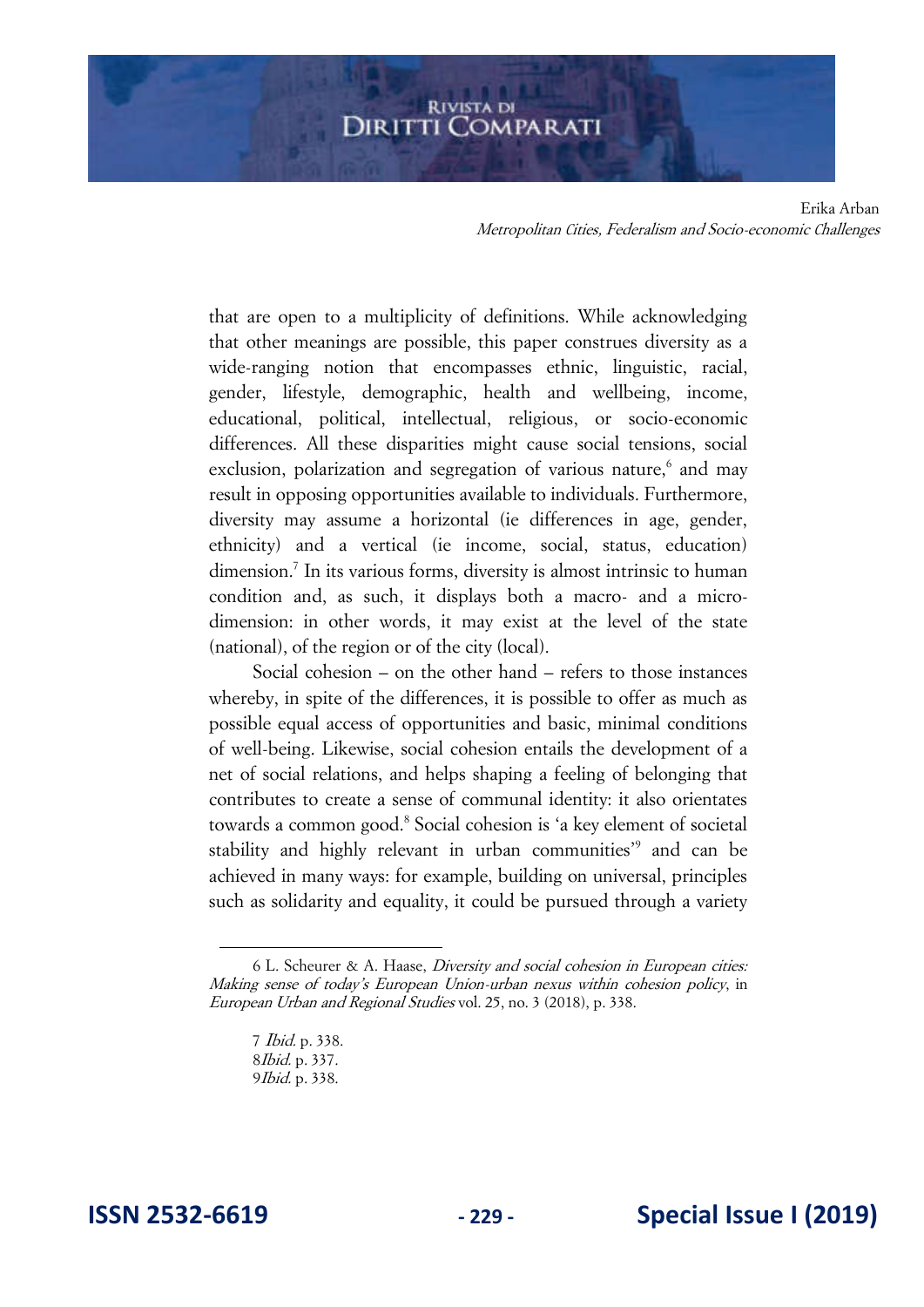that are open to a multiplicity of definitions. While acknowledging that other meanings are possible, this paper construes diversity as a wide-ranging notion that encompasses ethnic, linguistic, racial, gender, lifestyle, demographic, health and wellbeing, income, educational, political, intellectual, religious, or socio-economic differences. All these disparities might cause social tensions, social exclusion, polarization and segregation of various nature,<sup>6</sup> and may result in opposing opportunities available to individuals. Furthermore, diversity may assume a horizontal (ie differences in age, gender, ethnicity) and a vertical (ie income, social, status, education) dimension.<sup>7</sup> In its various forms, diversity is almost intrinsic to human condition and, as such, it displays both a macro- and a microdimension: in other words, it may exist at the level of the state (national), of the region or of the city (local).

Social cohesion – on the other hand – refers to those instances whereby, in spite of the differences, it is possible to offer as much as possible equal access of opportunities and basic, minimal conditions of well-being. Likewise, social cohesion entails the development of a net of social relations, and helps shaping a feeling of belonging that contributes to create a sense of communal identity: it also orientates towards a common good.<sup>8</sup> Social cohesion is 'a key element of societal stability and highly relevant in urban communities<sup>39</sup> and can be achieved in many ways: for example, building on universal, principles such as solidarity and equality, it could be pursued through a variety

<sup>6</sup> L. Scheurer & A. Haase, Diversity and social cohesion in European cities: Making sense of today's European Union-urban nexus within cohesion policy, in European Urban and Regional Studies vol. 25, no. 3 (2018), p. 338.

<sup>7</sup> Ibid. p. 338. 8Ibid. p. 337. 9Ibid. p. 338.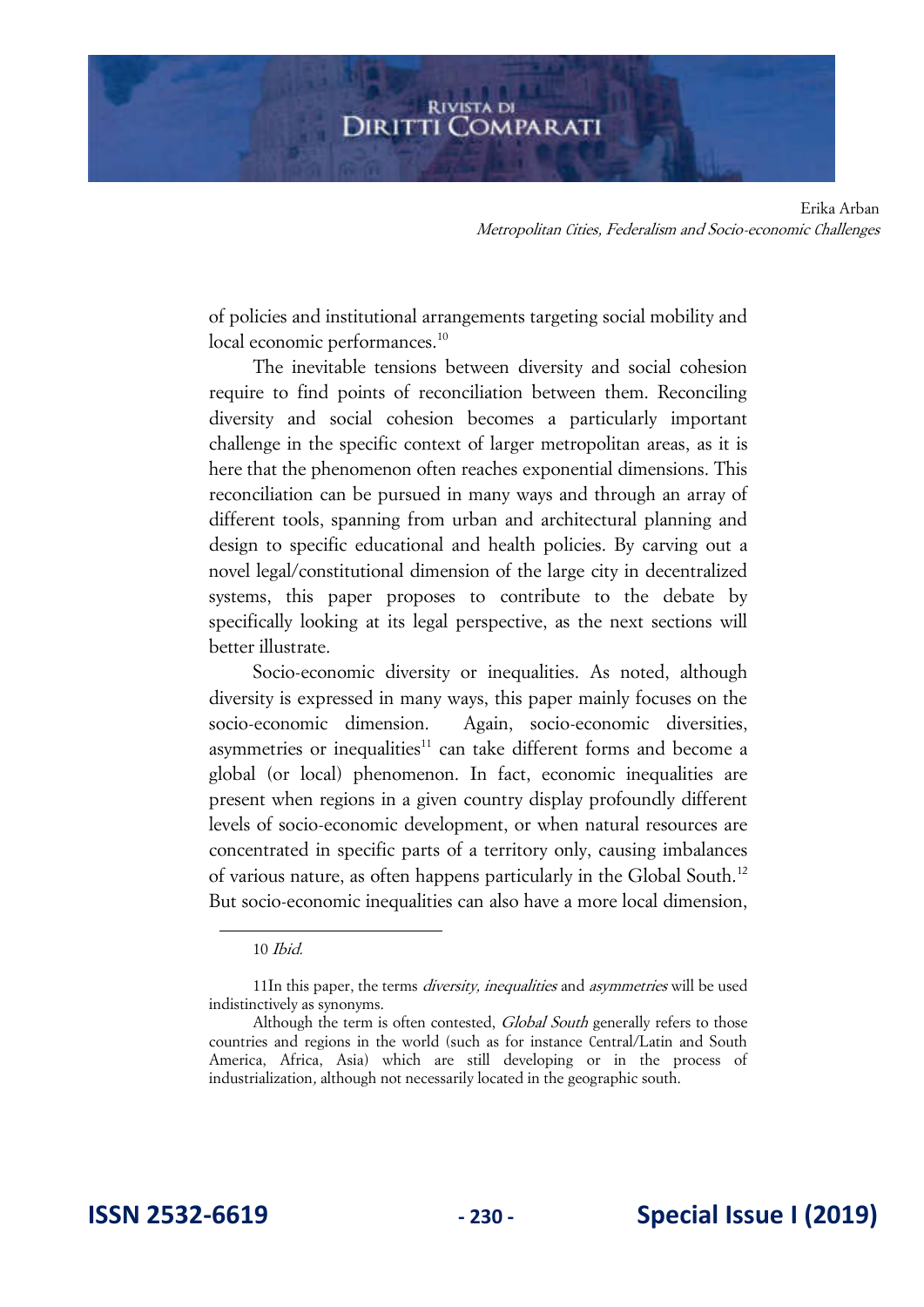of policies and institutional arrangements targeting social mobility and local economic performances.<sup>10</sup>

The inevitable tensions between diversity and social cohesion require to find points of reconciliation between them. Reconciling diversity and social cohesion becomes a particularly important challenge in the specific context of larger metropolitan areas, as it is here that the phenomenon often reaches exponential dimensions. This reconciliation can be pursued in many ways and through an array of different tools, spanning from urban and architectural planning and design to specific educational and health policies. By carving out a novel legal/constitutional dimension of the large city in decentralized systems, this paper proposes to contribute to the debate by specifically looking at its legal perspective, as the next sections will better illustrate.

Socio-economic diversity or inequalities. As noted, although diversity is expressed in many ways, this paper mainly focuses on the socio-economic dimension. Again, socio-economic diversities, asymmetries or inequalities $11$  can take different forms and become a global (or local) phenomenon. In fact, economic inequalities are present when regions in a given country display profoundly different levels of socio-economic development, or when natural resources are concentrated in specific parts of a territory only, causing imbalances of various nature, as often happens particularly in the Global South.<sup>12</sup> But socio-economic inequalities can also have a more local dimension,

<sup>10</sup> Ibid.

<sup>11</sup>In this paper, the terms *diversity, inequalities* and *asymmetries* will be used indistinctively as synonyms.

Although the term is often contested, *Global South* generally refers to those countries and regions in the world (such as for instance Central/Latin and South America, Africa, Asia) which are still developing or in the process of industrialization, although not necessarily located in the geographic south.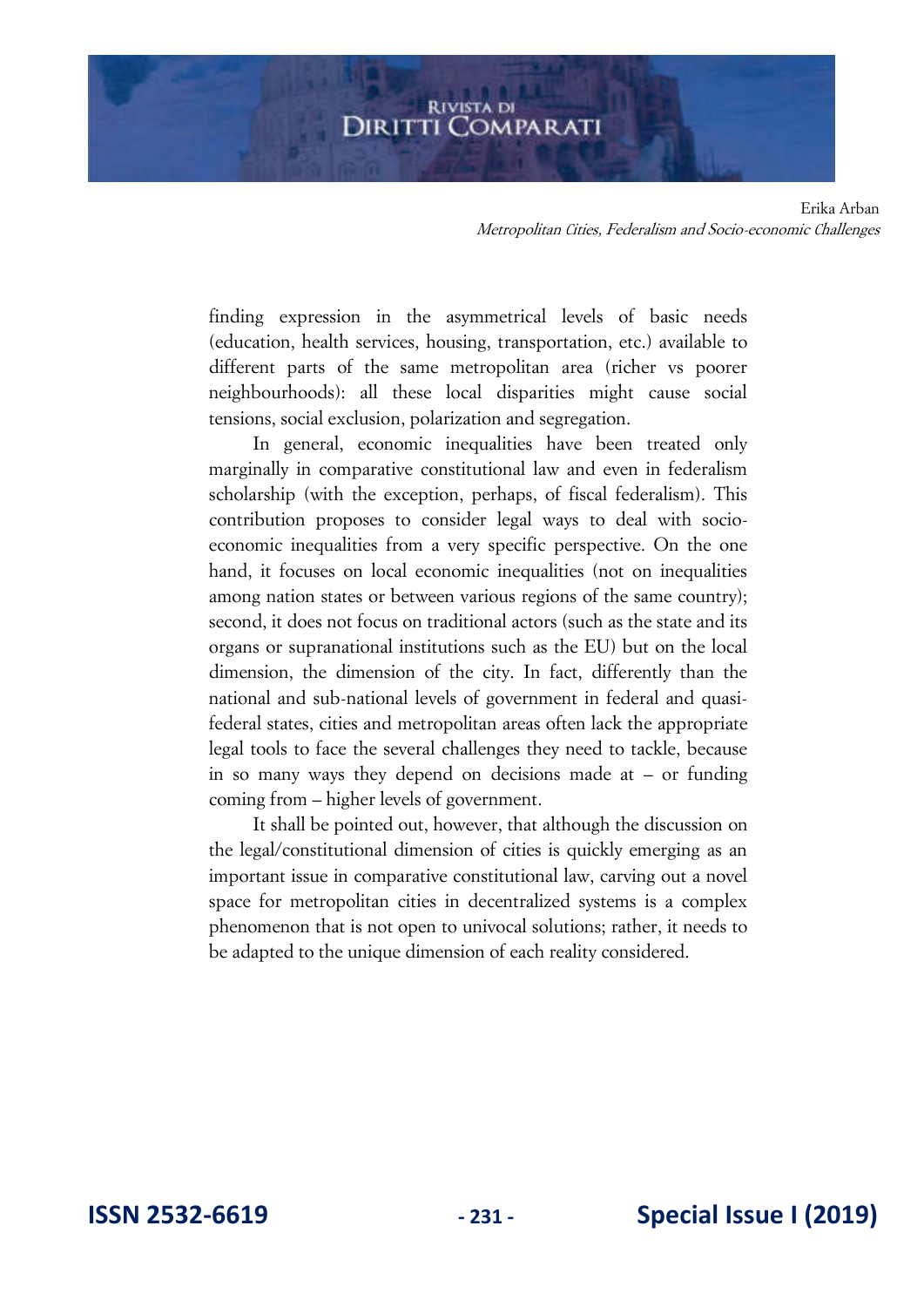finding expression in the asymmetrical levels of basic needs (education, health services, housing, transportation, etc.) available to different parts of the same metropolitan area (richer vs poorer neighbourhoods): all these local disparities might cause social tensions, social exclusion, polarization and segregation.

In general, economic inequalities have been treated only marginally in comparative constitutional law and even in federalism scholarship (with the exception, perhaps, of fiscal federalism). This contribution proposes to consider legal ways to deal with socioeconomic inequalities from a very specific perspective. On the one hand, it focuses on local economic inequalities (not on inequalities among nation states or between various regions of the same country); second, it does not focus on traditional actors (such as the state and its organs or supranational institutions such as the EU) but on the local dimension, the dimension of the city. In fact, differently than the national and sub-national levels of government in federal and quasifederal states, cities and metropolitan areas often lack the appropriate legal tools to face the several challenges they need to tackle, because in so many ways they depend on decisions made at – or funding coming from – higher levels of government.

It shall be pointed out, however, that although the discussion on the legal/constitutional dimension of cities is quickly emerging as an important issue in comparative constitutional law, carving out a novel space for metropolitan cities in decentralized systems is a complex phenomenon that is not open to univocal solutions; rather, it needs to be adapted to the unique dimension of each reality considered.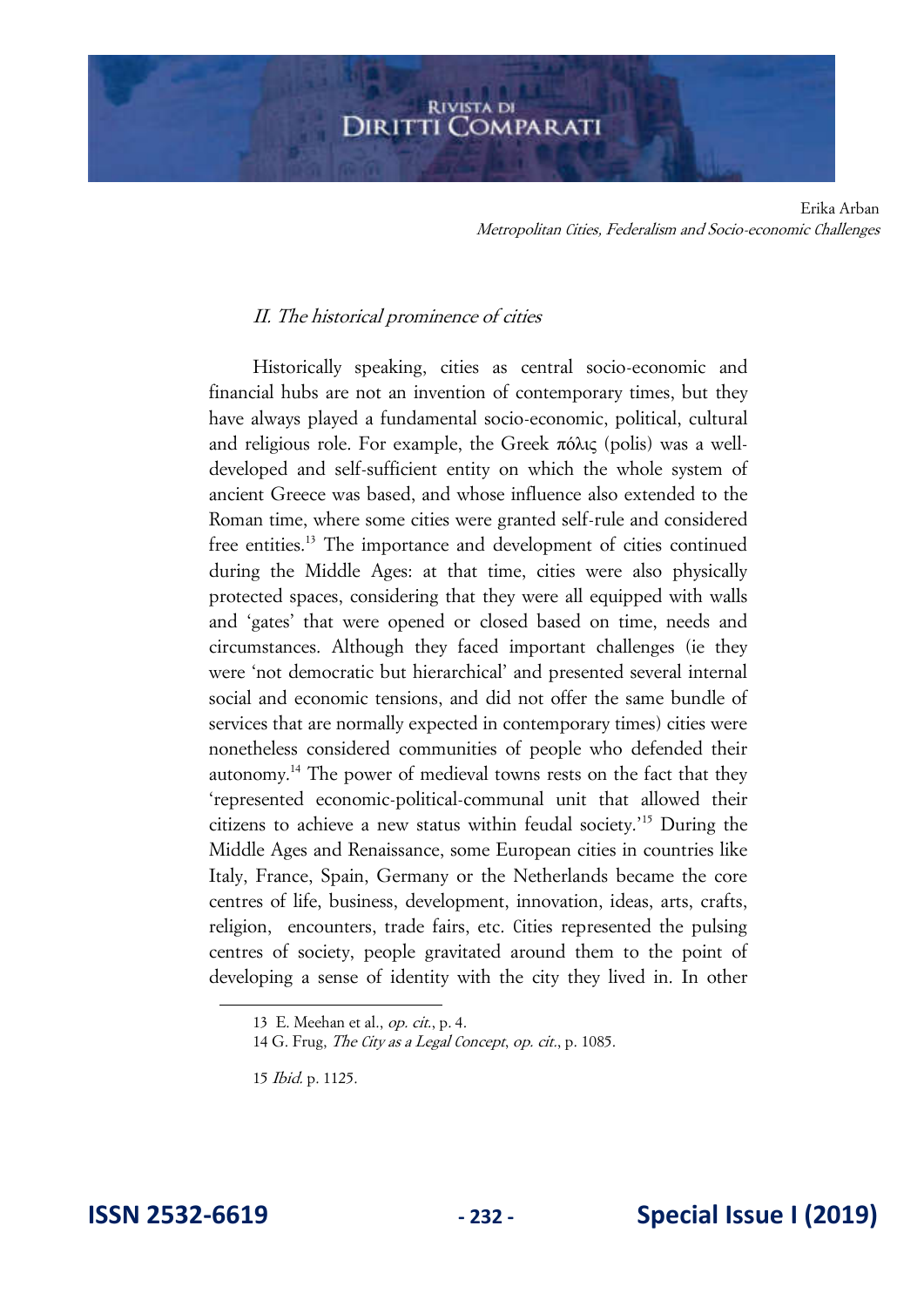# II. The historical prominence of cities

Historically speaking, cities as central socio-economic and financial hubs are not an invention of contemporary times, but they have always played a fundamental socio-economic, political, cultural and religious role. For example, the Greek πόλις (polis) was a welldeveloped and self-sufficient entity on which the whole system of ancient Greece was based, and whose influence also extended to the Roman time, where some cities were granted self-rule and considered free entities.<sup>13</sup> The importance and development of cities continued during the Middle Ages: at that time, cities were also physically protected spaces, considering that they were all equipped with walls and 'gates' that were opened or closed based on time, needs and circumstances. Although they faced important challenges (ie they were 'not democratic but hierarchical' and presented several internal social and economic tensions, and did not offer the same bundle of services that are normally expected in contemporary times) cities were nonetheless considered communities of people who defended their autonomy.<sup>14</sup> The power of medieval towns rests on the fact that they 'represented economic-political-communal unit that allowed their citizens to achieve a new status within feudal society.'<sup>15</sup> During the Middle Ages and Renaissance, some European cities in countries like Italy, France, Spain, Germany or the Netherlands became the core centres of life, business, development, innovation, ideas, arts, crafts, religion, encounters, trade fairs, etc. Cities represented the pulsing centres of society, people gravitated around them to the point of developing a sense of identity with the city they lived in. In other

<sup>13</sup> E. Meehan et al., op. cit., p. 4.

<sup>14</sup> G. Frug, The City as a Legal Concept, op. cit., p. 1085.

<sup>15</sup> Ibid. p. 1125.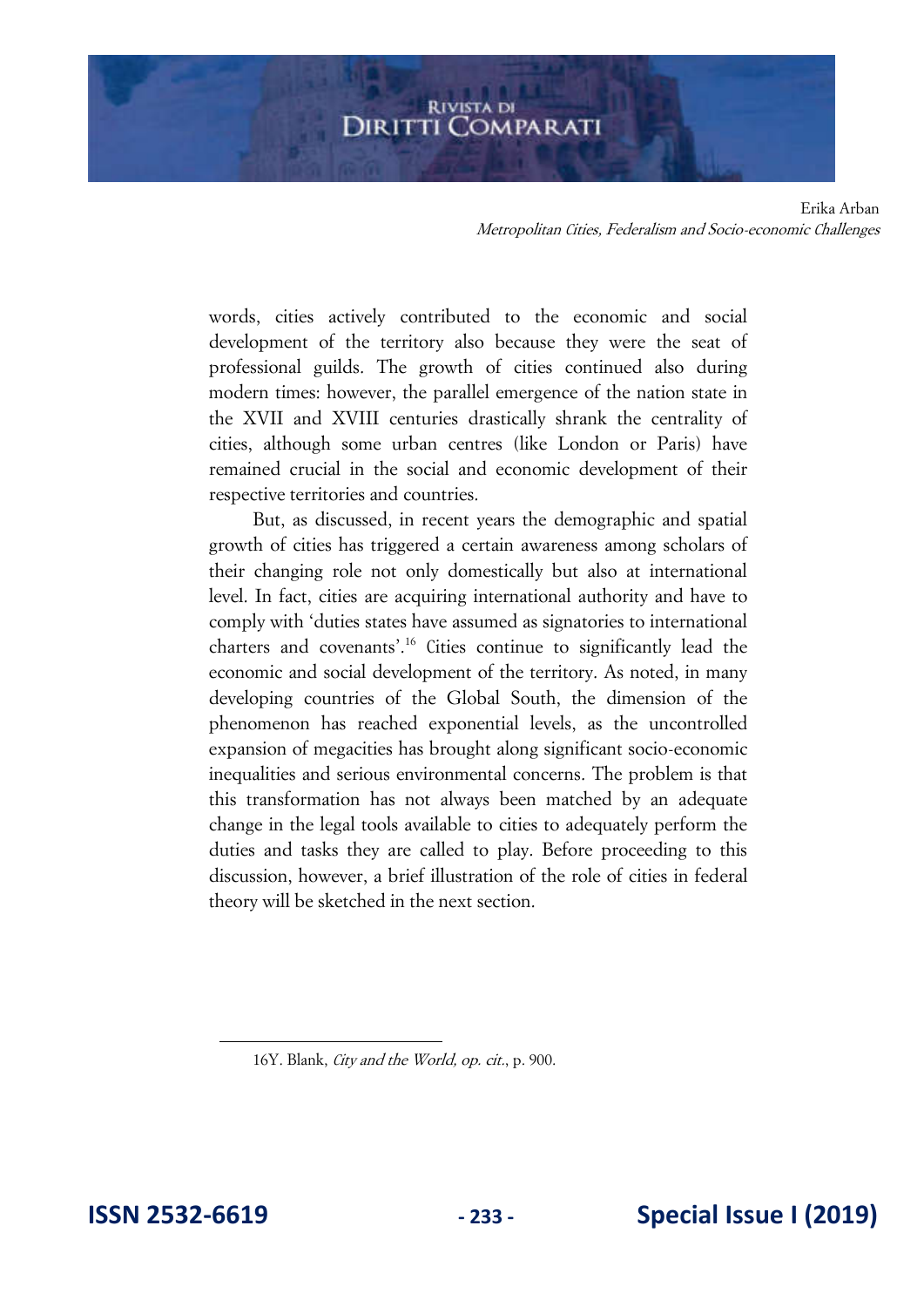words, cities actively contributed to the economic and social development of the territory also because they were the seat of professional guilds. The growth of cities continued also during modern times: however, the parallel emergence of the nation state in the XVII and XVIII centuries drastically shrank the centrality of cities, although some urban centres (like London or Paris) have remained crucial in the social and economic development of their respective territories and countries.

But, as discussed, in recent years the demographic and spatial growth of cities has triggered a certain awareness among scholars of their changing role not only domestically but also at international level. In fact, cities are acquiring international authority and have to comply with 'duties states have assumed as signatories to international charters and covenants'.<sup>16</sup> Cities continue to significantly lead the economic and social development of the territory. As noted, in many developing countries of the Global South, the dimension of the phenomenon has reached exponential levels, as the uncontrolled expansion of megacities has brought along significant socio-economic inequalities and serious environmental concerns. The problem is that this transformation has not always been matched by an adequate change in the legal tools available to cities to adequately perform the duties and tasks they are called to play. Before proceeding to this discussion, however, a brief illustration of the role of cities in federal theory will be sketched in the next section.

<sup>16</sup>Y. Blank, City and the World, op. cit., p. 900.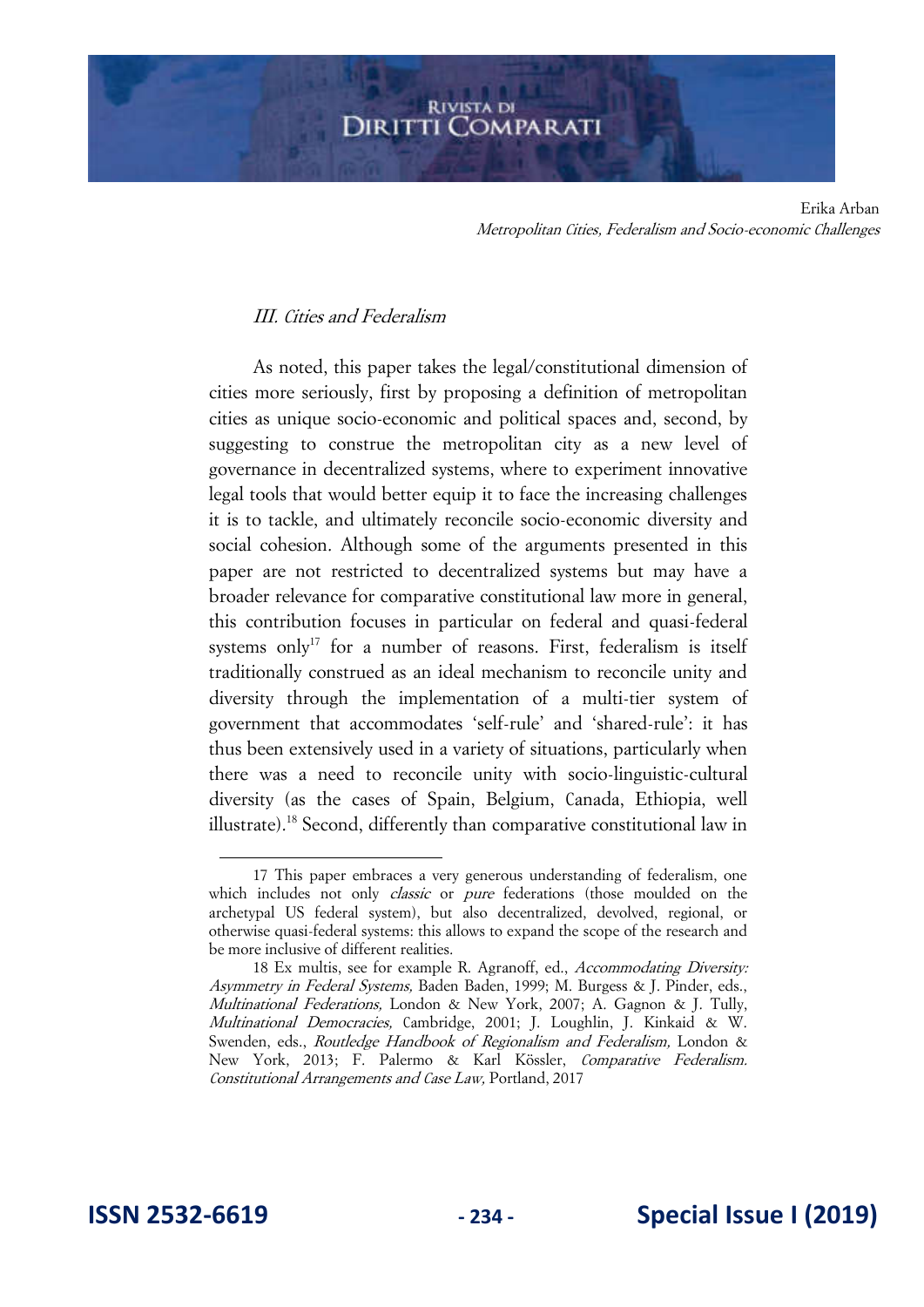# III. Cities and Federalism

As noted, this paper takes the legal/constitutional dimension of cities more seriously, first by proposing a definition of metropolitan cities as unique socio-economic and political spaces and, second, by suggesting to construe the metropolitan city as a new level of governance in decentralized systems, where to experiment innovative legal tools that would better equip it to face the increasing challenges it is to tackle, and ultimately reconcile socio-economic diversity and social cohesion. Although some of the arguments presented in this paper are not restricted to decentralized systems but may have a broader relevance for comparative constitutional law more in general, this contribution focuses in particular on federal and quasi-federal systems only<sup>17</sup> for a number of reasons. First, federalism is itself traditionally construed as an ideal mechanism to reconcile unity and diversity through the implementation of a multi-tier system of government that accommodates 'self-rule' and 'shared-rule': it has thus been extensively used in a variety of situations, particularly when there was a need to reconcile unity with socio-linguistic-cultural diversity (as the cases of Spain, Belgium, Canada, Ethiopia, well illustrate).<sup>18</sup> Second, differently than comparative constitutional law in

<sup>17</sup> This paper embraces a very generous understanding of federalism, one which includes not only *classic* or *pure* federations (those moulded on the archetypal US federal system), but also decentralized, devolved, regional, or otherwise quasi-federal systems: this allows to expand the scope of the research and be more inclusive of different realities.

<sup>18</sup> Ex multis, see for example R. Agranoff, ed., Accommodating Diversity: Asymmetry in Federal Systems, Baden Baden, 1999; M. Burgess & J. Pinder, eds., Multinational Federations, London & New York, 2007; A. Gagnon & J. Tully, Multinational Democracies, Cambridge, 2001; J. Loughlin, J. Kinkaid & W. Swenden, eds., Routledge Handbook of Regionalism and Federalism, London & New York, 2013; F. Palermo & Karl Kössler, Comparative Federalism. Constitutional Arrangements and Case Law, Portland, 2017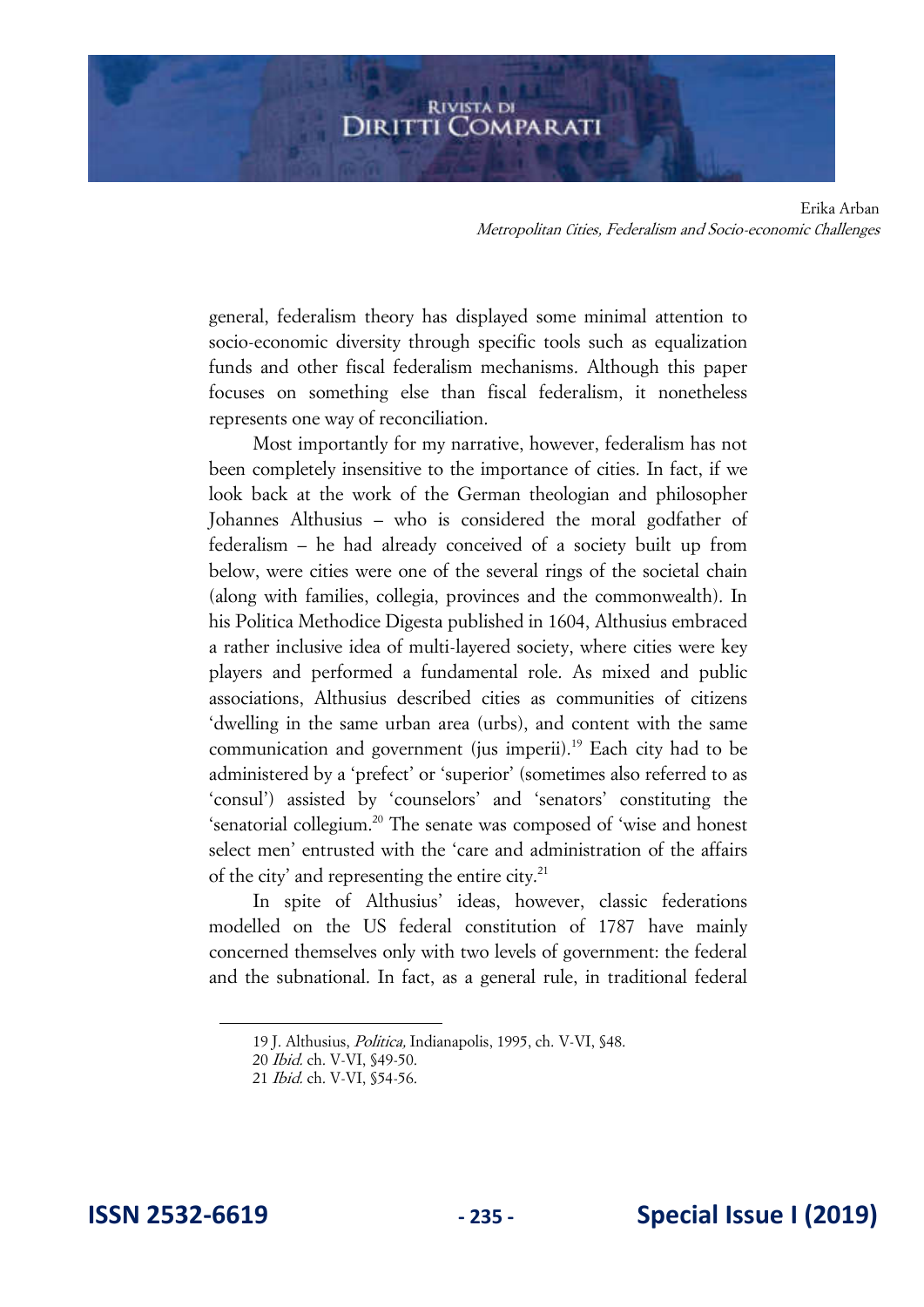general, federalism theory has displayed some minimal attention to socio-economic diversity through specific tools such as equalization funds and other fiscal federalism mechanisms. Although this paper focuses on something else than fiscal federalism, it nonetheless represents one way of reconciliation.

Most importantly for my narrative, however, federalism has not been completely insensitive to the importance of cities. In fact, if we look back at the work of the German theologian and philosopher Johannes Althusius – who is considered the moral godfather of federalism – he had already conceived of a society built up from below, were cities were one of the several rings of the societal chain (along with families, collegia, provinces and the commonwealth). In his Politica Methodice Digesta published in 1604, Althusius embraced a rather inclusive idea of multi-layered society, where cities were key players and performed a fundamental role. As mixed and public associations, Althusius described cities as communities of citizens 'dwelling in the same urban area (urbs), and content with the same communication and government (jus imperii).<sup>19</sup> Each city had to be administered by a 'prefect' or 'superior' (sometimes also referred to as 'consul') assisted by 'counselors' and 'senators' constituting the 'senatorial collegium.<sup>20</sup> The senate was composed of 'wise and honest select men' entrusted with the 'care and administration of the affairs of the city' and representing the entire city. $^{21}$ 

In spite of Althusius' ideas, however, classic federations modelled on the US federal constitution of 1787 have mainly concerned themselves only with two levels of government: the federal and the subnational. In fact, as a general rule, in traditional federal

<sup>19</sup> J. Althusius, Politica, Indianapolis, 1995, ch. V-VI, §48.

<sup>20</sup> Ibid. ch. V-VI, §49-50.

<sup>21</sup> Ibid. ch. V-VI, §54-56.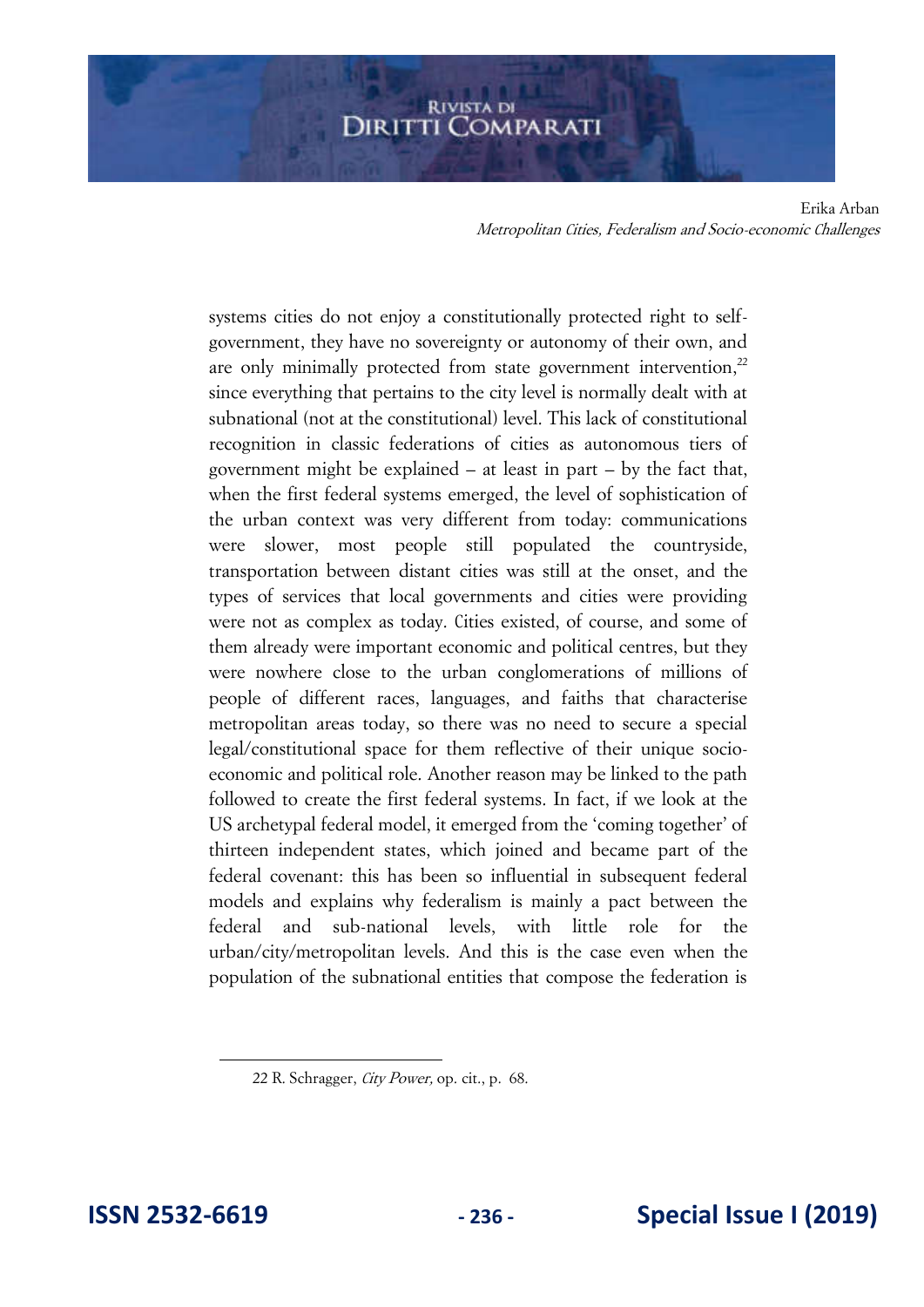systems cities do not enjoy a constitutionally protected right to selfgovernment, they have no sovereignty or autonomy of their own, and are only minimally protected from state government intervention,<sup>22</sup> since everything that pertains to the city level is normally dealt with at subnational (not at the constitutional) level. This lack of constitutional recognition in classic federations of cities as autonomous tiers of government might be explained – at least in part – by the fact that, when the first federal systems emerged, the level of sophistication of the urban context was very different from today: communications were slower, most people still populated the countryside, transportation between distant cities was still at the onset, and the types of services that local governments and cities were providing were not as complex as today. Cities existed, of course, and some of them already were important economic and political centres, but they were nowhere close to the urban conglomerations of millions of people of different races, languages, and faiths that characterise metropolitan areas today, so there was no need to secure a special legal/constitutional space for them reflective of their unique socioeconomic and political role. Another reason may be linked to the path followed to create the first federal systems. In fact, if we look at the US archetypal federal model, it emerged from the 'coming together' of thirteen independent states, which joined and became part of the federal covenant: this has been so influential in subsequent federal models and explains why federalism is mainly a pact between the federal and sub-national levels, with little role for the urban/city/metropolitan levels. And this is the case even when the population of the subnational entities that compose the federation is

<sup>22</sup> R. Schragger, City Power, op. cit., p. 68.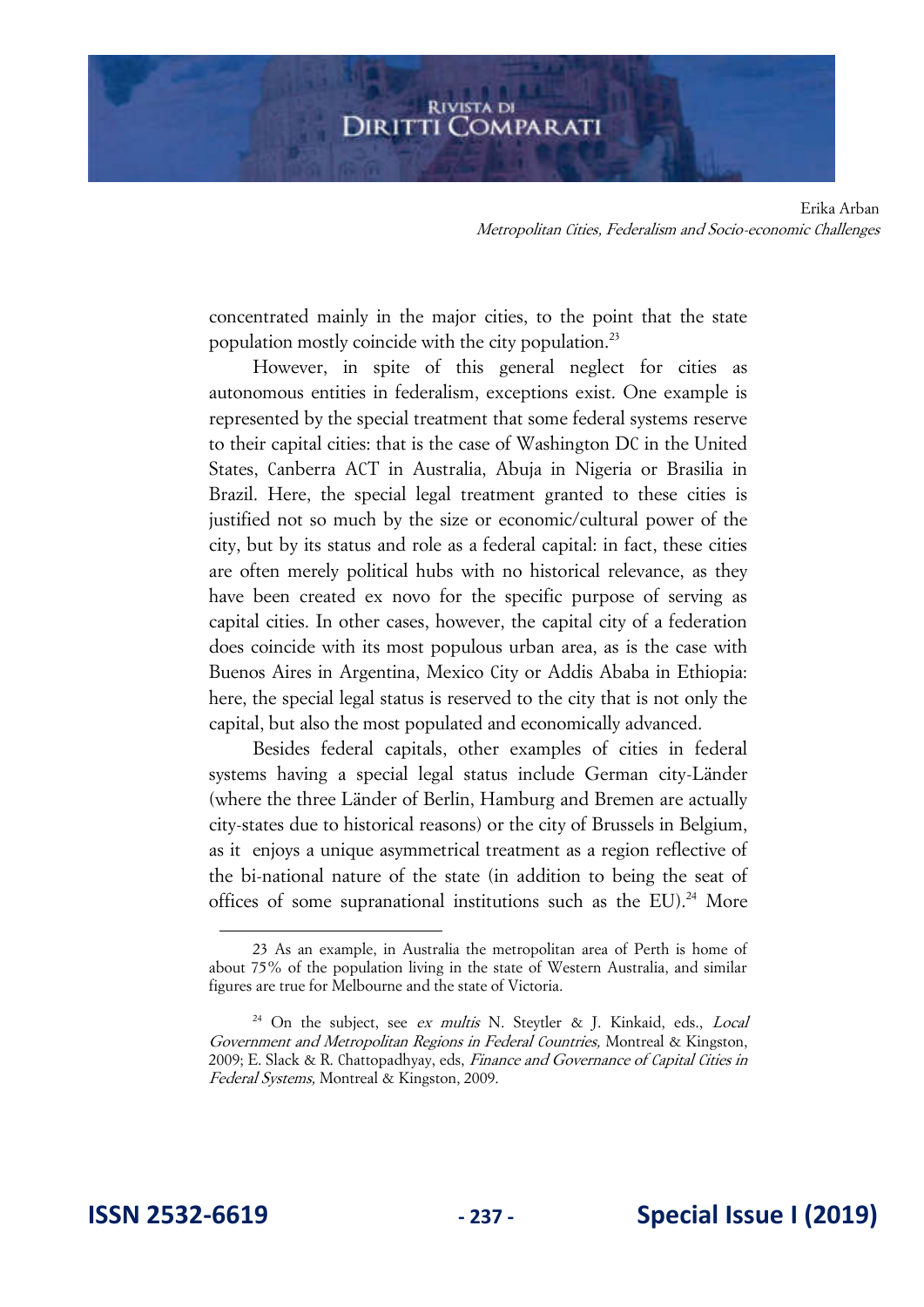concentrated mainly in the major cities, to the point that the state population mostly coincide with the city population.<sup>23</sup>

However, in spite of this general neglect for cities as autonomous entities in federalism, exceptions exist. One example is represented by the special treatment that some federal systems reserve to their capital cities: that is the case of Washington DC in the United States, Canberra ACT in Australia, Abuja in Nigeria or Brasilia in Brazil. Here, the special legal treatment granted to these cities is justified not so much by the size or economic/cultural power of the city, but by its status and role as a federal capital: in fact, these cities are often merely political hubs with no historical relevance, as they have been created ex novo for the specific purpose of serving as capital cities. In other cases, however, the capital city of a federation does coincide with its most populous urban area, as is the case with Buenos Aires in Argentina, Mexico City or Addis Ababa in Ethiopia: here, the special legal status is reserved to the city that is not only the capital, but also the most populated and economically advanced.

Besides federal capitals, other examples of cities in federal systems having a special legal status include German city-Länder (where the three Länder of Berlin, Hamburg and Bremen are actually city-states due to historical reasons) or the city of Brussels in Belgium, as it enjoys a unique asymmetrical treatment as a region reflective of the bi-national nature of the state (in addition to being the seat of offices of some supranational institutions such as the EU).<sup>24</sup> More

<sup>23</sup> As an example, in Australia the metropolitan area of Perth is home of about 75% of the population living in the state of Western Australia, and similar figures are true for Melbourne and the state of Victoria.

<sup>&</sup>lt;sup>24</sup> On the subject, see *ex multis* N. Steytler & J. Kinkaid, eds., *Local* Government and Metropolitan Regions in Federal Countries, Montreal & Kingston, 2009; E. Slack & R. Chattopadhyay, eds, Finance and Governance of Capital Cities in Federal Systems, Montreal & Kingston, 2009.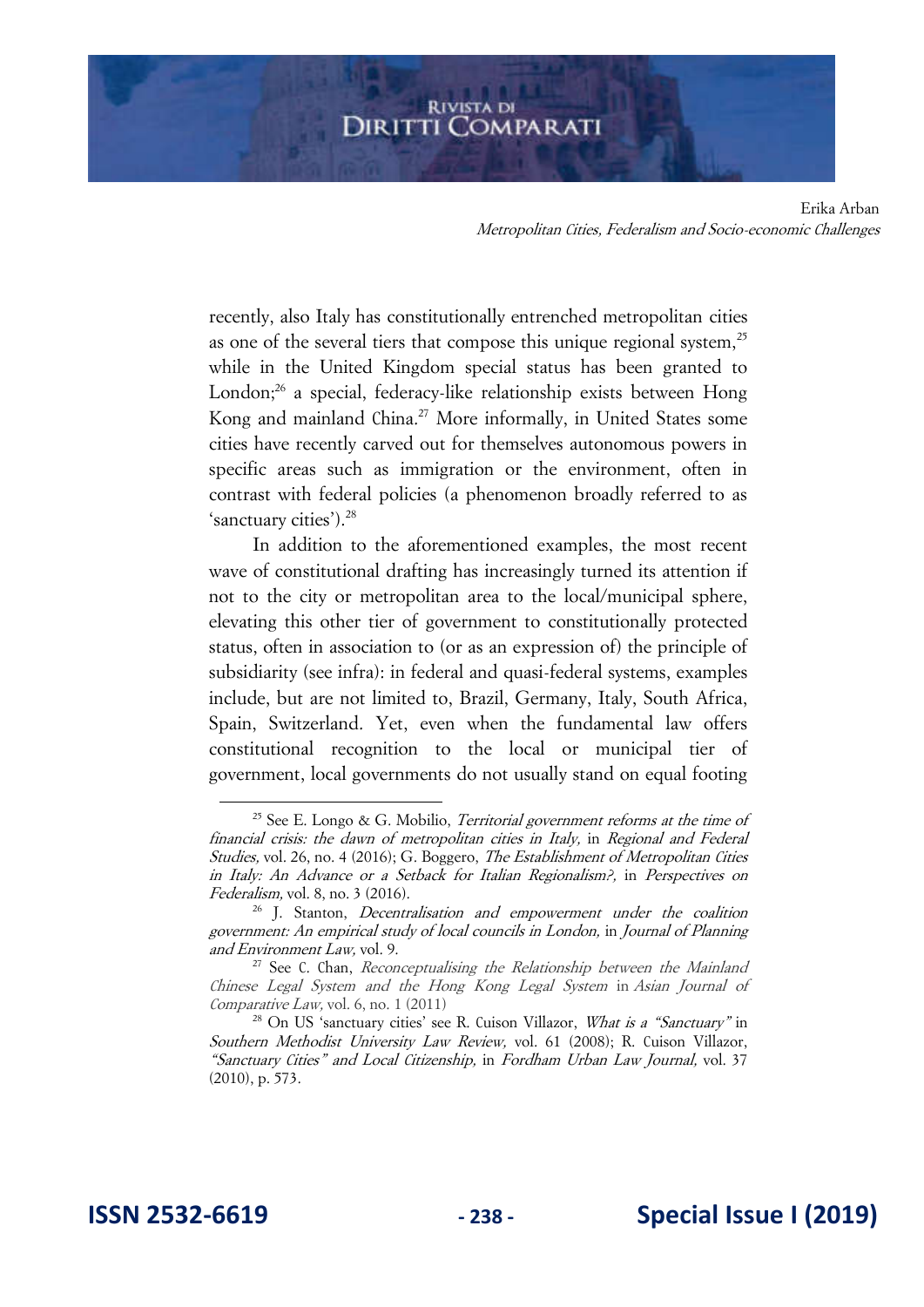recently, also Italy has constitutionally entrenched metropolitan cities as one of the several tiers that compose this unique regional system,  $2^5$ while in the United Kingdom special status has been granted to London; $^{26}$  a special, federacy-like relationship exists between Hong Kong and mainland China.<sup>27</sup> More informally, in United States some cities have recently carved out for themselves autonomous powers in specific areas such as immigration or the environment, often in contrast with federal policies (a phenomenon broadly referred to as 'sanctuary cities').<sup>28</sup>

In addition to the aforementioned examples, the most recent wave of constitutional drafting has increasingly turned its attention if not to the city or metropolitan area to the local/municipal sphere, elevating this other tier of government to constitutionally protected status, often in association to (or as an expression of) the principle of subsidiarity (see infra): in federal and quasi-federal systems, examples include, but are not limited to, Brazil, Germany, Italy, South Africa, Spain, Switzerland. Yet, even when the fundamental law offers constitutional recognition to the local or municipal tier of government, local governments do not usually stand on equal footing

<sup>&</sup>lt;sup>25</sup> See E. Longo & G. Mobilio, *Territorial government reforms at the time of* financial crisis: the dawn of metropolitan cities in Italy, in Regional and Federal Studies, vol. 26, no. 4 (2016); G. Boggero, The Establishment of Metropolitan Cities in Italy: An Advance or a Setback for Italian Regionalism?, in Perspectives on Federalism, vol. 8, no. 3 (2016).

 $26$  J. Stanton, *Decentralisation and empowerment under the coalition* government: An empirical study of local councils in London, in Journal of Planning and Environment Law, vol. 9.

 $27$  See C. Chan, Reconceptualising the Relationship between the Mainland Chinese Legal System and the Hong Kong Legal System in Asian Journal of Comparative Law, vol. 6, no. 1 (2011)

<sup>&</sup>lt;sup>28</sup> On US 'sanctuary cities' see R. Cuison Villazor, *What is a "Sanctuary"* in Southern Methodist University Law Review, vol. 61 (2008); R. Cuison Villazor, "Sanctuary Cities" and Local Citizenship, in Fordham Urban Law Journal, vol. 37 (2010), p. 573.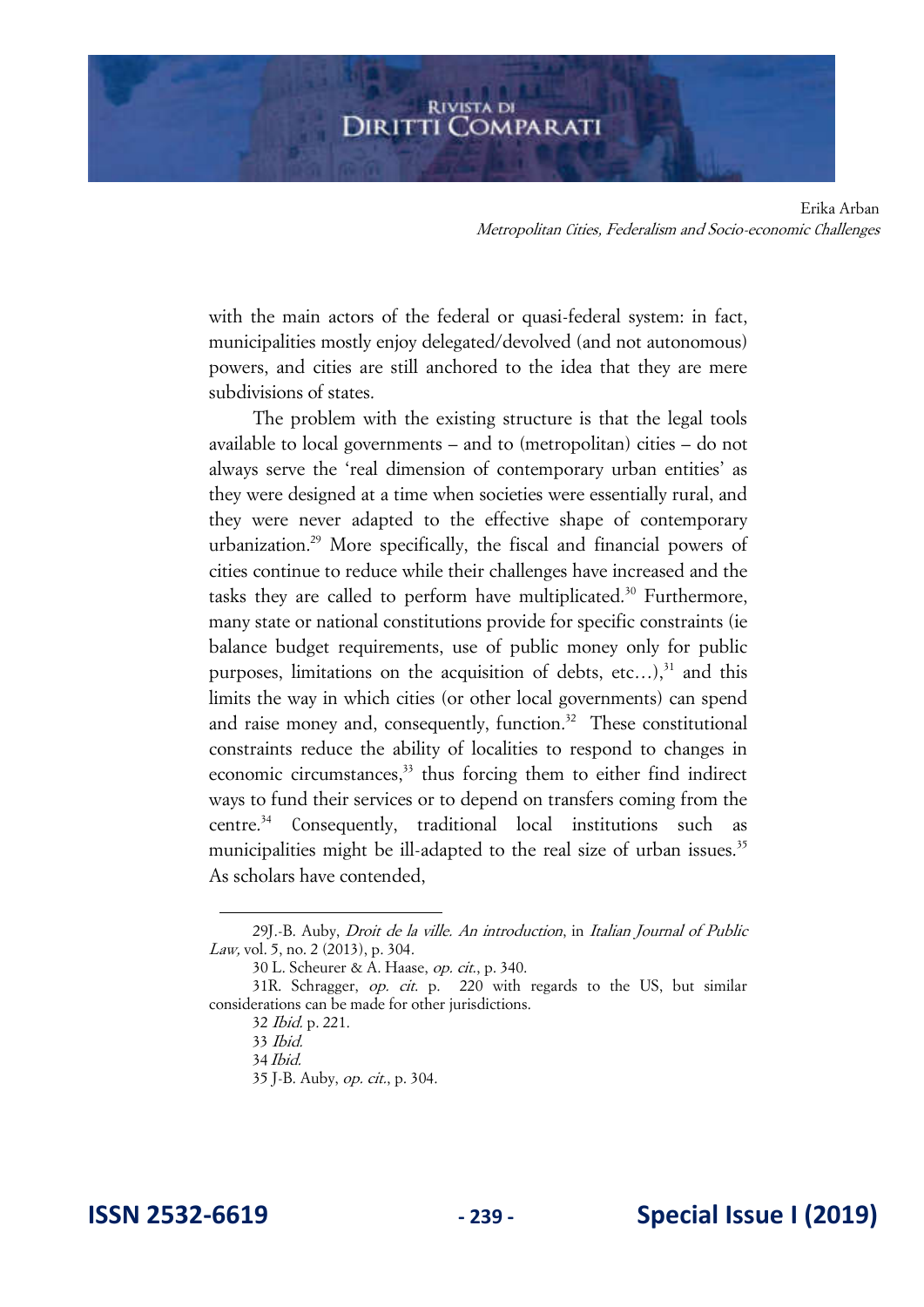with the main actors of the federal or quasi-federal system: in fact, municipalities mostly enjoy delegated/devolved (and not autonomous) powers, and cities are still anchored to the idea that they are mere subdivisions of states.

The problem with the existing structure is that the legal tools available to local governments – and to (metropolitan) cities – do not always serve the 'real dimension of contemporary urban entities' as they were designed at a time when societies were essentially rural, and they were never adapted to the effective shape of contemporary urbanization.<sup>29</sup> More specifically, the fiscal and financial powers of cities continue to reduce while their challenges have increased and the tasks they are called to perform have multiplicated.<sup>30</sup> Furthermore, many state or national constitutions provide for specific constraints (ie balance budget requirements, use of public money only for public purposes, limitations on the acquisition of debts, etc...), $31$  and this limits the way in which cities (or other local governments) can spend and raise money and, consequently, function.<sup>32</sup> These constitutional constraints reduce the ability of localities to respond to changes in economic circumstances,<sup>33</sup> thus forcing them to either find indirect ways to fund their services or to depend on transfers coming from the centre.<sup>34</sup> Consequently, traditional local institutions such as municipalities might be ill-adapted to the real size of urban issues.<sup>35</sup> As scholars have contended,

<sup>29</sup>J.-B. Auby, Droit de la ville. An introduction, in Italian Journal of Public Law, vol. 5, no. 2 (2013), p. 304.

<sup>30</sup> L. Scheurer & A. Haase, op. cit., p. 340.

<sup>31</sup>R. Schragger, op. cit. p. 220 with regards to the US, but similar considerations can be made for other jurisdictions.

<sup>32</sup> Ibid. p. 221.

<sup>33</sup> Ibid. 34 Ibid.

<sup>35</sup> J-B. Auby, op. cit., p. 304.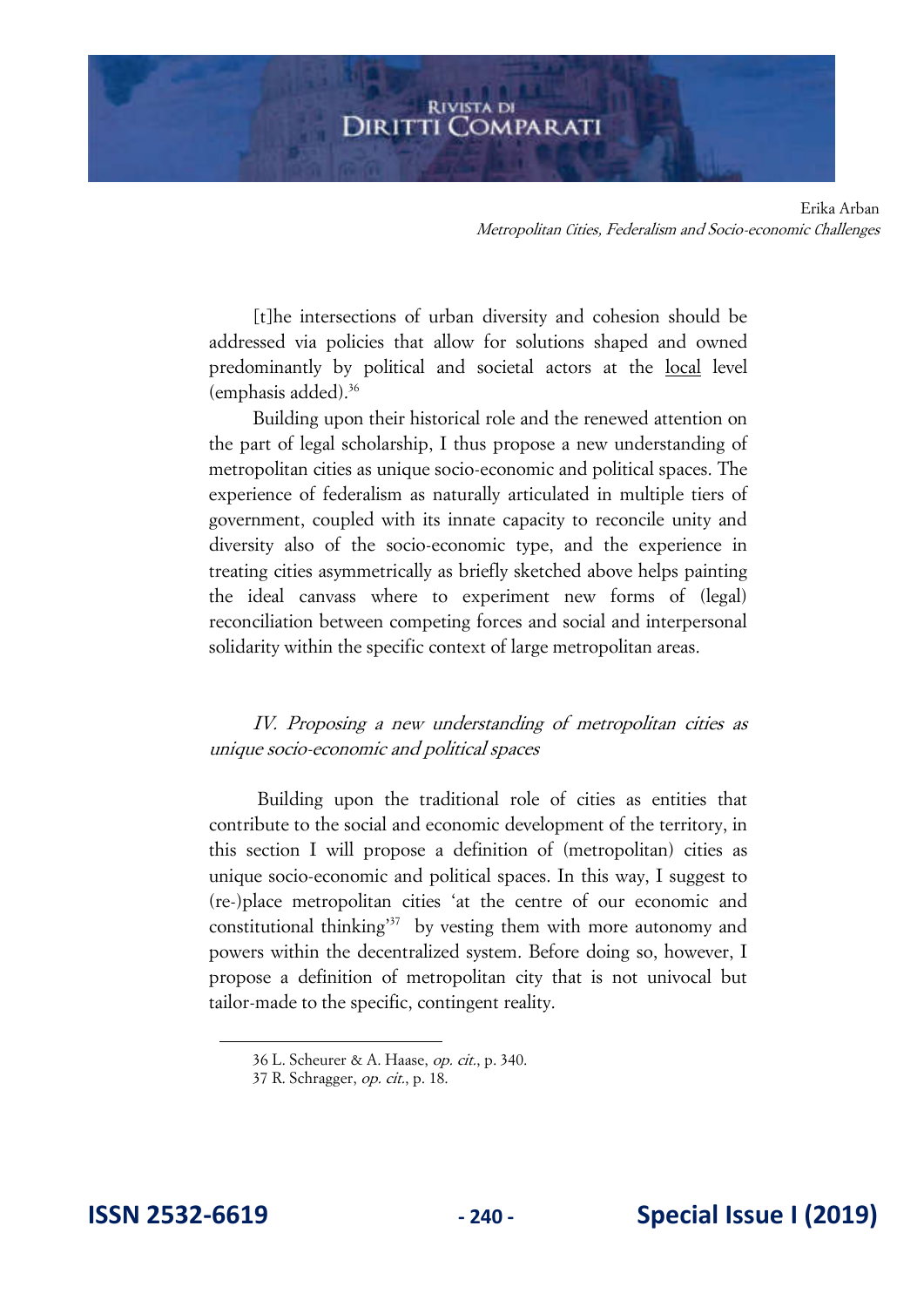[t]he intersections of urban diversity and cohesion should be addressed via policies that allow for solutions shaped and owned predominantly by political and societal actors at the local level (emphasis added).<sup>36</sup>

Building upon their historical role and the renewed attention on the part of legal scholarship, I thus propose a new understanding of metropolitan cities as unique socio-economic and political spaces. The experience of federalism as naturally articulated in multiple tiers of government, coupled with its innate capacity to reconcile unity and diversity also of the socio-economic type, and the experience in treating cities asymmetrically as briefly sketched above helps painting the ideal canvass where to experiment new forms of (legal) reconciliation between competing forces and social and interpersonal solidarity within the specific context of large metropolitan areas.

IV. Proposing a new understanding of metropolitan cities as unique socio-economic and political spaces

 Building upon the traditional role of cities as entities that contribute to the social and economic development of the territory, in this section I will propose a definition of (metropolitan) cities as unique socio-economic and political spaces. In this way, I suggest to (re-)place metropolitan cities 'at the centre of our economic and constitutional thinking<sup>37</sup> by vesting them with more autonomy and powers within the decentralized system. Before doing so, however, I propose a definition of metropolitan city that is not univocal but tailor-made to the specific, contingent reality.

<sup>36</sup> L. Scheurer & A. Haase, op. cit., p. 340.

<sup>37</sup> R. Schragger, op. cit., p. 18.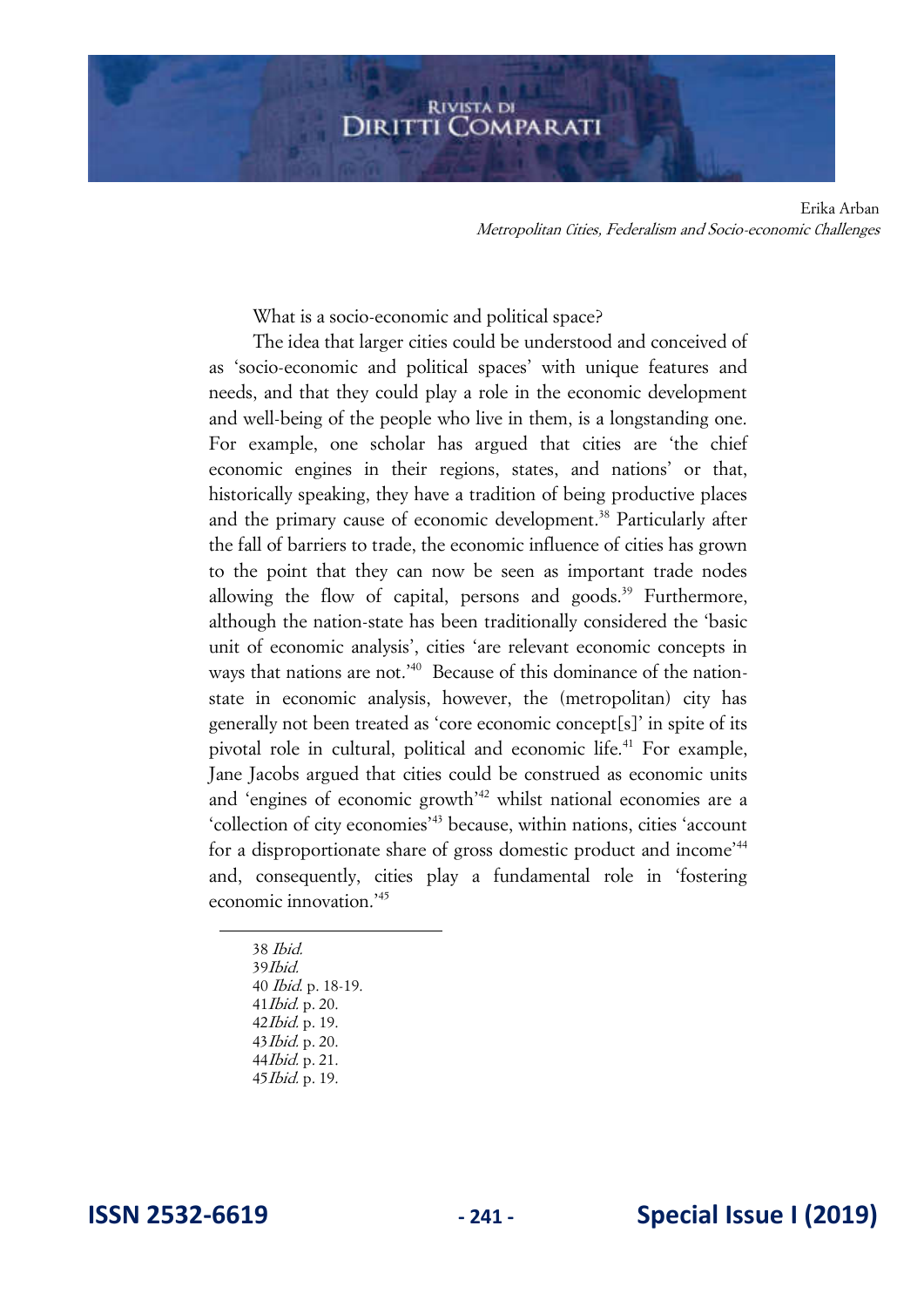What is a socio-economic and political space?

The idea that larger cities could be understood and conceived of as 'socio-economic and political spaces' with unique features and needs, and that they could play a role in the economic development and well-being of the people who live in them, is a longstanding one. For example, one scholar has argued that cities are 'the chief economic engines in their regions, states, and nations' or that, historically speaking, they have a tradition of being productive places and the primary cause of economic development.<sup>38</sup> Particularly after the fall of barriers to trade, the economic influence of cities has grown to the point that they can now be seen as important trade nodes allowing the flow of capital, persons and goods.<sup>39</sup> Furthermore, although the nation-state has been traditionally considered the 'basic unit of economic analysis', cities 'are relevant economic concepts in ways that nations are not.<sup>'40</sup> Because of this dominance of the nationstate in economic analysis, however, the (metropolitan) city has generally not been treated as 'core economic concept[s]' in spite of its pivotal role in cultural, political and economic life.<sup>41</sup> For example, Jane Jacobs argued that cities could be construed as economic units and 'engines of economic growth'<sup>42</sup> whilst national economies are a 'collection of city economies'<sup>43</sup> because, within nations, cities 'account for a disproportionate share of gross domestic product and income'<sup>44</sup> and, consequently, cities play a fundamental role in 'fostering economic innovation.'<sup>45</sup>

38 Ibid. 39Ibid. Ibid. p. 18-19. Ibid. p. 20. Ibid. p. 19. Ibid. p. 20. Ibid. p. 21. Ibid. p. 19.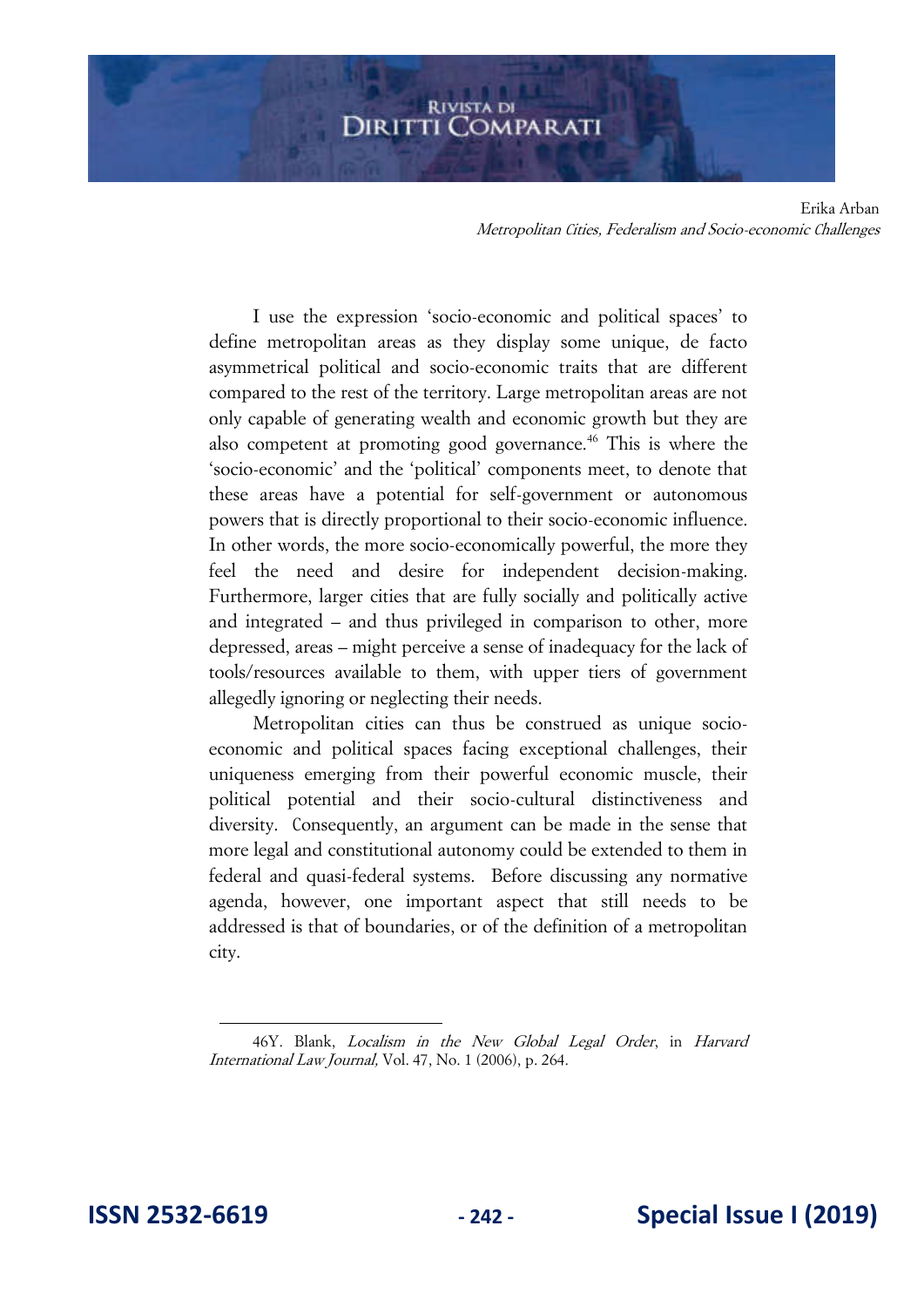I use the expression 'socio-economic and political spaces' to define metropolitan areas as they display some unique, de facto asymmetrical political and socio-economic traits that are different compared to the rest of the territory. Large metropolitan areas are not only capable of generating wealth and economic growth but they are also competent at promoting good governance.<sup>46</sup> This is where the 'socio-economic' and the 'political' components meet, to denote that these areas have a potential for self-government or autonomous powers that is directly proportional to their socio-economic influence. In other words, the more socio-economically powerful, the more they feel the need and desire for independent decision-making. Furthermore, larger cities that are fully socially and politically active and integrated – and thus privileged in comparison to other, more depressed, areas – might perceive a sense of inadequacy for the lack of tools/resources available to them, with upper tiers of government allegedly ignoring or neglecting their needs.

Metropolitan cities can thus be construed as unique socioeconomic and political spaces facing exceptional challenges, their uniqueness emerging from their powerful economic muscle, their political potential and their socio-cultural distinctiveness and diversity. Consequently, an argument can be made in the sense that more legal and constitutional autonomy could be extended to them in federal and quasi-federal systems. Before discussing any normative agenda, however, one important aspect that still needs to be addressed is that of boundaries, or of the definition of a metropolitan city.

<sup>46</sup>Y. Blank, Localism in the New Global Legal Order, in Harvard International Law Journal, Vol. 47, No. 1 (2006), p. 264.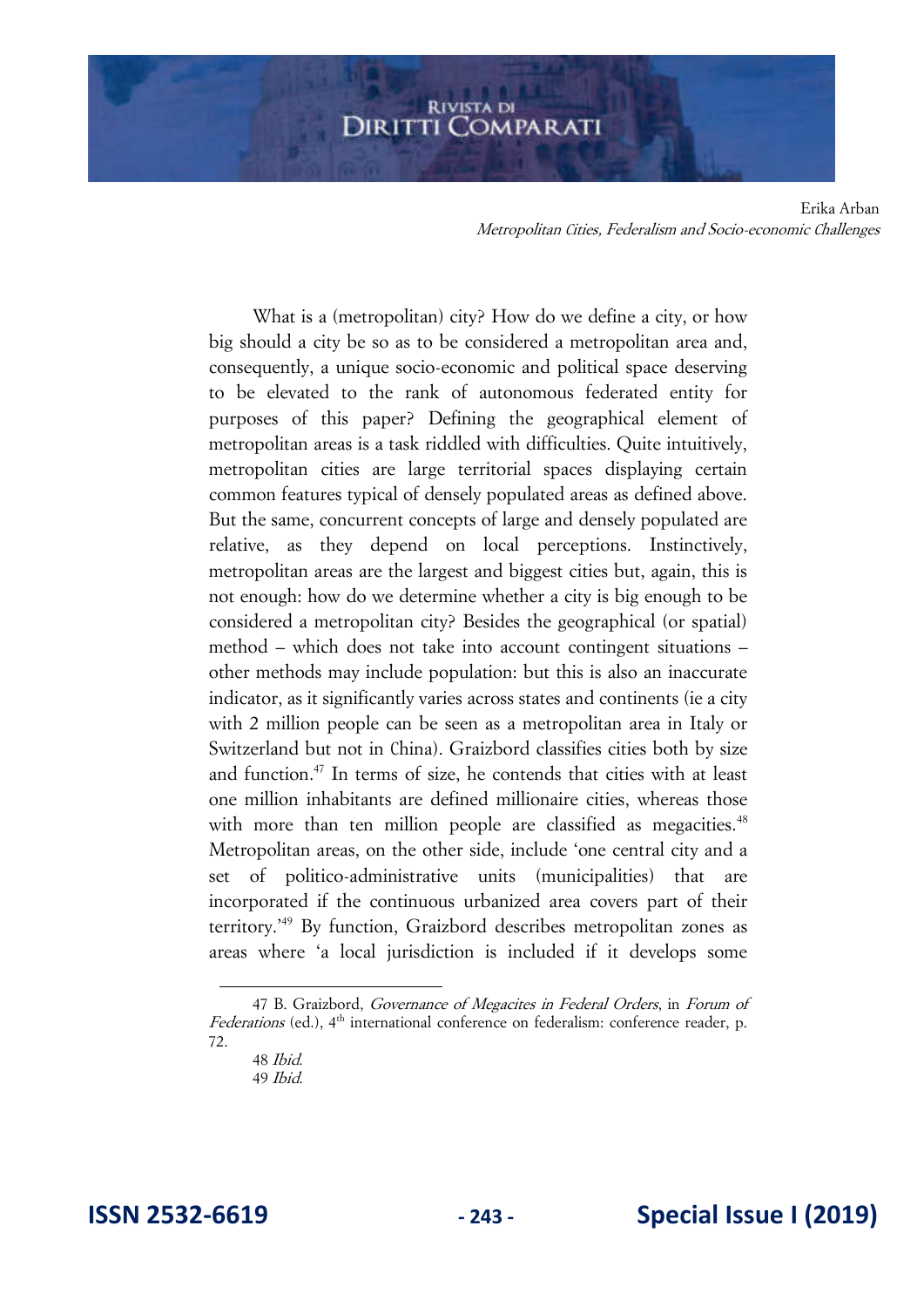What is a (metropolitan) city? How do we define a city, or how big should a city be so as to be considered a metropolitan area and, consequently, a unique socio-economic and political space deserving to be elevated to the rank of autonomous federated entity for purposes of this paper? Defining the geographical element of metropolitan areas is a task riddled with difficulties. Quite intuitively, metropolitan cities are large territorial spaces displaying certain common features typical of densely populated areas as defined above. But the same, concurrent concepts of large and densely populated are relative, as they depend on local perceptions. Instinctively, metropolitan areas are the largest and biggest cities but, again, this is not enough: how do we determine whether a city is big enough to be considered a metropolitan city? Besides the geographical (or spatial) method – which does not take into account contingent situations – other methods may include population: but this is also an inaccurate indicator, as it significantly varies across states and continents (ie a city with 2 million people can be seen as a metropolitan area in Italy or Switzerland but not in China). Graizbord classifies cities both by size and function.<sup>47</sup> In terms of size, he contends that cities with at least one million inhabitants are defined millionaire cities, whereas those with more than ten million people are classified as megacities.<sup>48</sup> Metropolitan areas, on the other side, include 'one central city and a set of politico-administrative units (municipalities) that are incorporated if the continuous urbanized area covers part of their territory.'<sup>49</sup> By function, Graizbord describes metropolitan zones as areas where 'a local jurisdiction is included if it develops some

<sup>47</sup> B. Graizbord, Governance of Megacites in Federal Orders, in Forum of Federations (ed.),  $4<sup>th</sup>$  international conference on federalism: conference reader, p. 72.

<sup>48</sup> Ibid. 49 Ibid.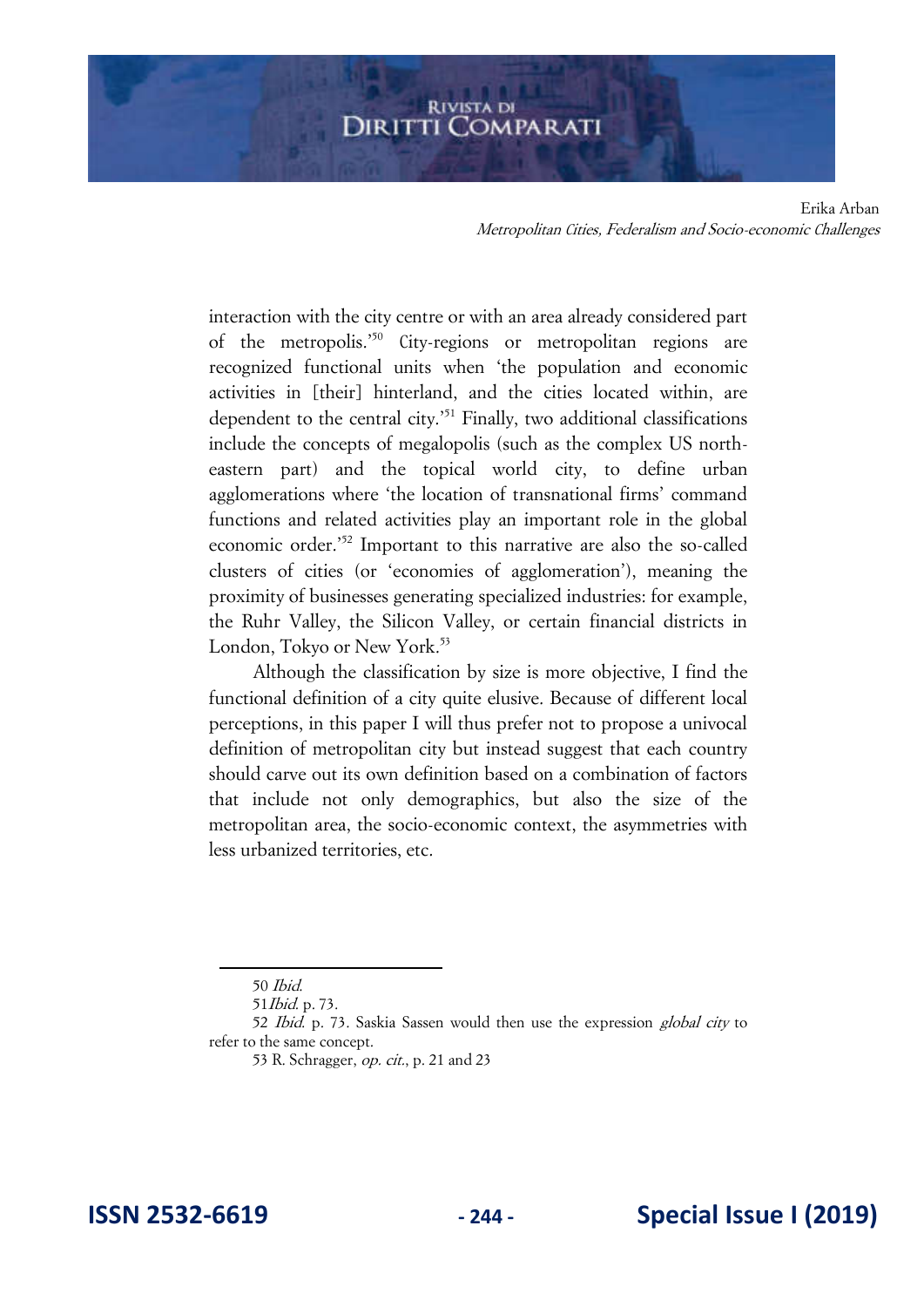interaction with the city centre or with an area already considered part of the metropolis.'<sup>50</sup> City-regions or metropolitan regions are recognized functional units when 'the population and economic activities in [their] hinterland, and the cities located within, are dependent to the central city.'<sup>51</sup> Finally, two additional classifications include the concepts of megalopolis (such as the complex US northeastern part) and the topical world city, to define urban agglomerations where 'the location of transnational firms' command functions and related activities play an important role in the global economic order.'<sup>52</sup> Important to this narrative are also the so-called clusters of cities (or 'economies of agglomeration'), meaning the proximity of businesses generating specialized industries: for example, the Ruhr Valley, the Silicon Valley, or certain financial districts in London, Tokyo or New York.<sup>53</sup>

Although the classification by size is more objective, I find the functional definition of a city quite elusive. Because of different local perceptions, in this paper I will thus prefer not to propose a univocal definition of metropolitan city but instead suggest that each country should carve out its own definition based on a combination of factors that include not only demographics, but also the size of the metropolitan area, the socio-economic context, the asymmetries with less urbanized territories, etc.

<sup>50</sup> Ibid.

<sup>51</sup>Ibid. p. 73.

<sup>52</sup> Ibid. p. 73. Saskia Sassen would then use the expression global city to refer to the same concept.

<sup>53</sup> R. Schragger, op. cit., p. 21 and 23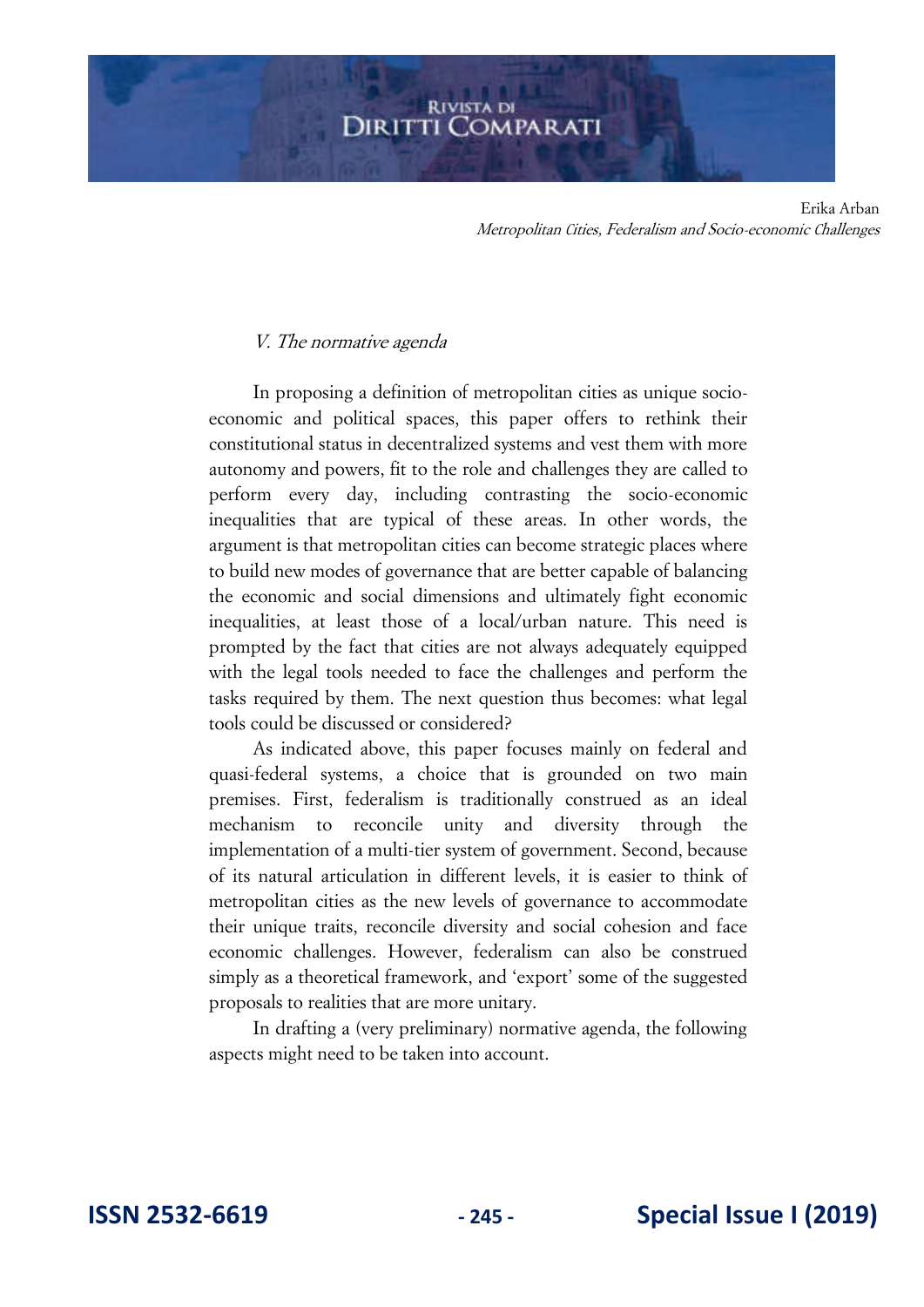#### V. The normative agenda

In proposing a definition of metropolitan cities as unique socioeconomic and political spaces, this paper offers to rethink their constitutional status in decentralized systems and vest them with more autonomy and powers, fit to the role and challenges they are called to perform every day, including contrasting the socio-economic inequalities that are typical of these areas. In other words, the argument is that metropolitan cities can become strategic places where to build new modes of governance that are better capable of balancing the economic and social dimensions and ultimately fight economic inequalities, at least those of a local/urban nature. This need is prompted by the fact that cities are not always adequately equipped with the legal tools needed to face the challenges and perform the tasks required by them. The next question thus becomes: what legal tools could be discussed or considered?

As indicated above, this paper focuses mainly on federal and quasi-federal systems, a choice that is grounded on two main premises. First, federalism is traditionally construed as an ideal mechanism to reconcile unity and diversity through the implementation of a multi-tier system of government. Second, because of its natural articulation in different levels, it is easier to think of metropolitan cities as the new levels of governance to accommodate their unique traits, reconcile diversity and social cohesion and face economic challenges. However, federalism can also be construed simply as a theoretical framework, and 'export' some of the suggested proposals to realities that are more unitary.

In drafting a (very preliminary) normative agenda, the following aspects might need to be taken into account.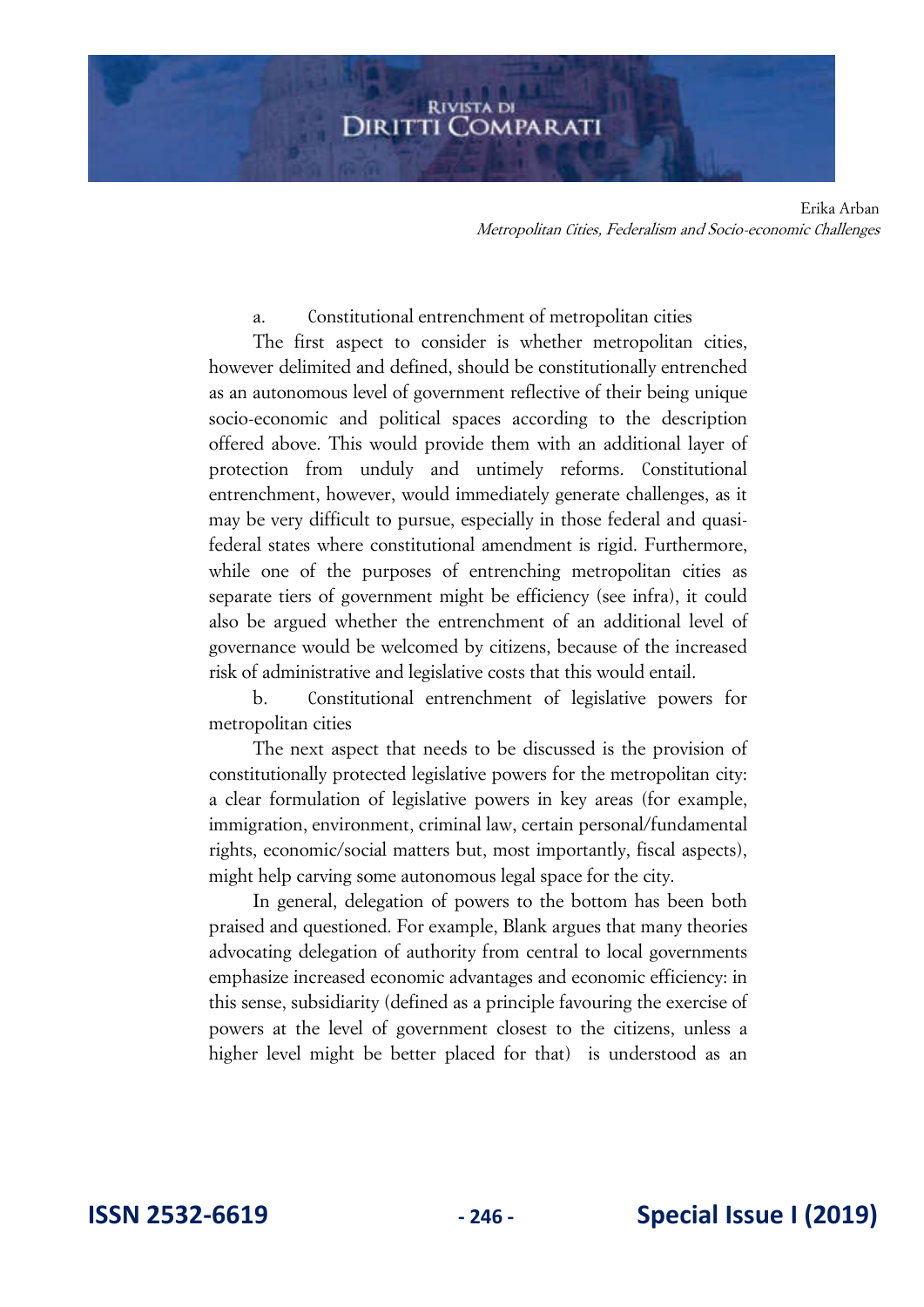#### a. Constitutional entrenchment of metropolitan cities

The first aspect to consider is whether metropolitan cities, however delimited and defined, should be constitutionally entrenched as an autonomous level of government reflective of their being unique socio-economic and political spaces according to the description offered above. This would provide them with an additional layer of protection from unduly and untimely reforms. Constitutional entrenchment, however, would immediately generate challenges, as it may be very difficult to pursue, especially in those federal and quasifederal states where constitutional amendment is rigid. Furthermore, while one of the purposes of entrenching metropolitan cities as separate tiers of government might be efficiency (see infra), it could also be argued whether the entrenchment of an additional level of governance would be welcomed by citizens, because of the increased risk of administrative and legislative costs that this would entail.

b. Constitutional entrenchment of legislative powers for metropolitan cities

The next aspect that needs to be discussed is the provision of constitutionally protected legislative powers for the metropolitan city: a clear formulation of legislative powers in key areas (for example, immigration, environment, criminal law, certain personal/fundamental rights, economic/social matters but, most importantly, fiscal aspects), might help carving some autonomous legal space for the city.

In general, delegation of powers to the bottom has been both praised and questioned. For example, Blank argues that many theories advocating delegation of authority from central to local governments emphasize increased economic advantages and economic efficiency: in this sense, subsidiarity (defined as a principle favouring the exercise of powers at the level of government closest to the citizens, unless a higher level might be better placed for that) is understood as an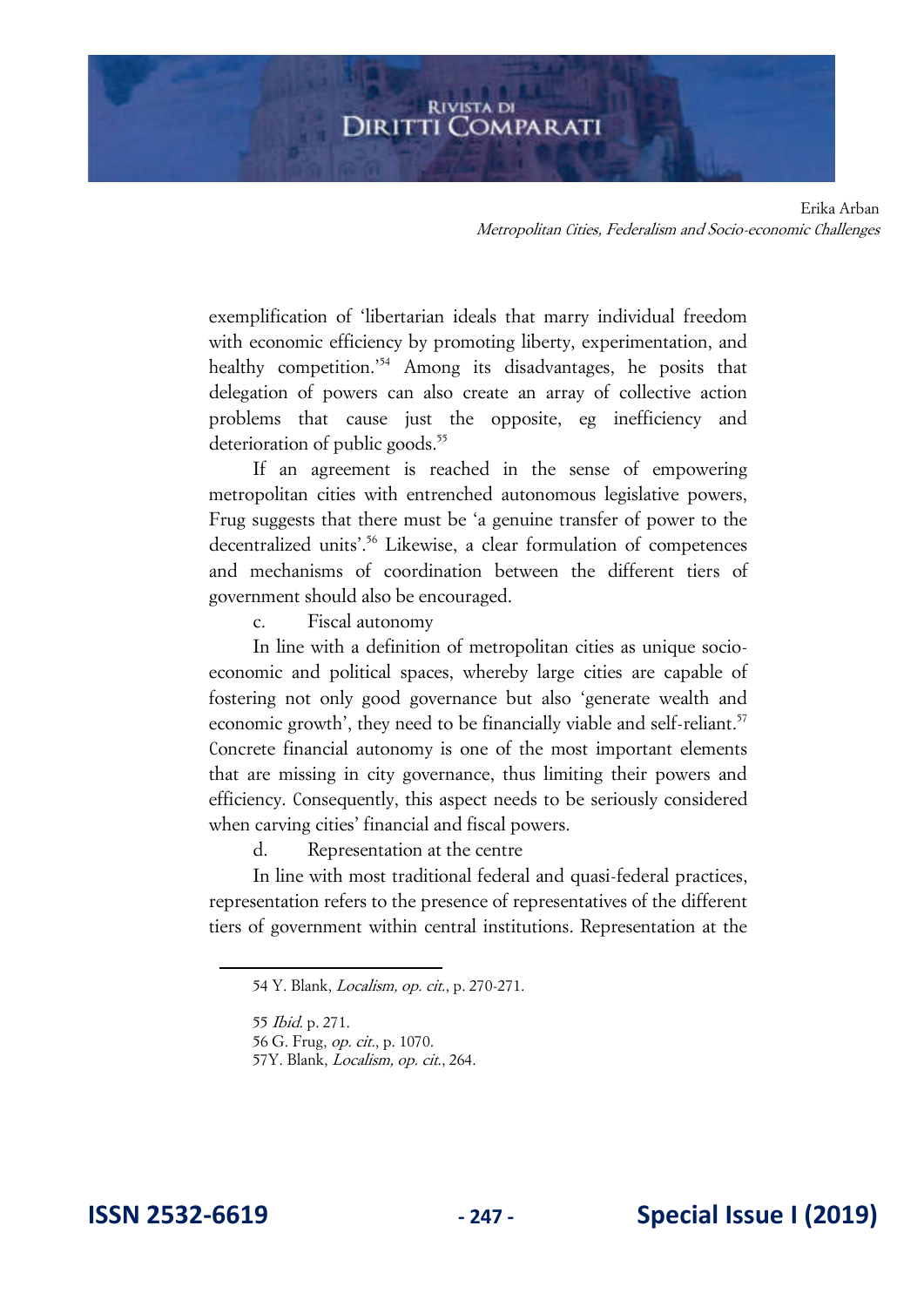exemplification of 'libertarian ideals that marry individual freedom with economic efficiency by promoting liberty, experimentation, and healthy competition.<sup>'54</sup> Among its disadvantages, he posits that delegation of powers can also create an array of collective action problems that cause just the opposite, eg inefficiency and deterioration of public goods.<sup>55</sup>

If an agreement is reached in the sense of empowering metropolitan cities with entrenched autonomous legislative powers, Frug suggests that there must be 'a genuine transfer of power to the decentralized units'.<sup>56</sup> Likewise, a clear formulation of competences and mechanisms of coordination between the different tiers of government should also be encouraged.

c. Fiscal autonomy

In line with a definition of metropolitan cities as unique socioeconomic and political spaces, whereby large cities are capable of fostering not only good governance but also 'generate wealth and economic growth', they need to be financially viable and self-reliant.<sup>57</sup> Concrete financial autonomy is one of the most important elements that are missing in city governance, thus limiting their powers and efficiency. Consequently, this aspect needs to be seriously considered when carving cities' financial and fiscal powers.

d. Representation at the centre

In line with most traditional federal and quasi-federal practices, representation refers to the presence of representatives of the different tiers of government within central institutions. Representation at the

57Y. Blank, Localism, op. cit., 264.

<sup>54</sup> Y. Blank, Localism, op. cit., p. 270-271.

<sup>55</sup> Ibid. p. 271.

<sup>56</sup> G. Frug, op. cit., p. 1070.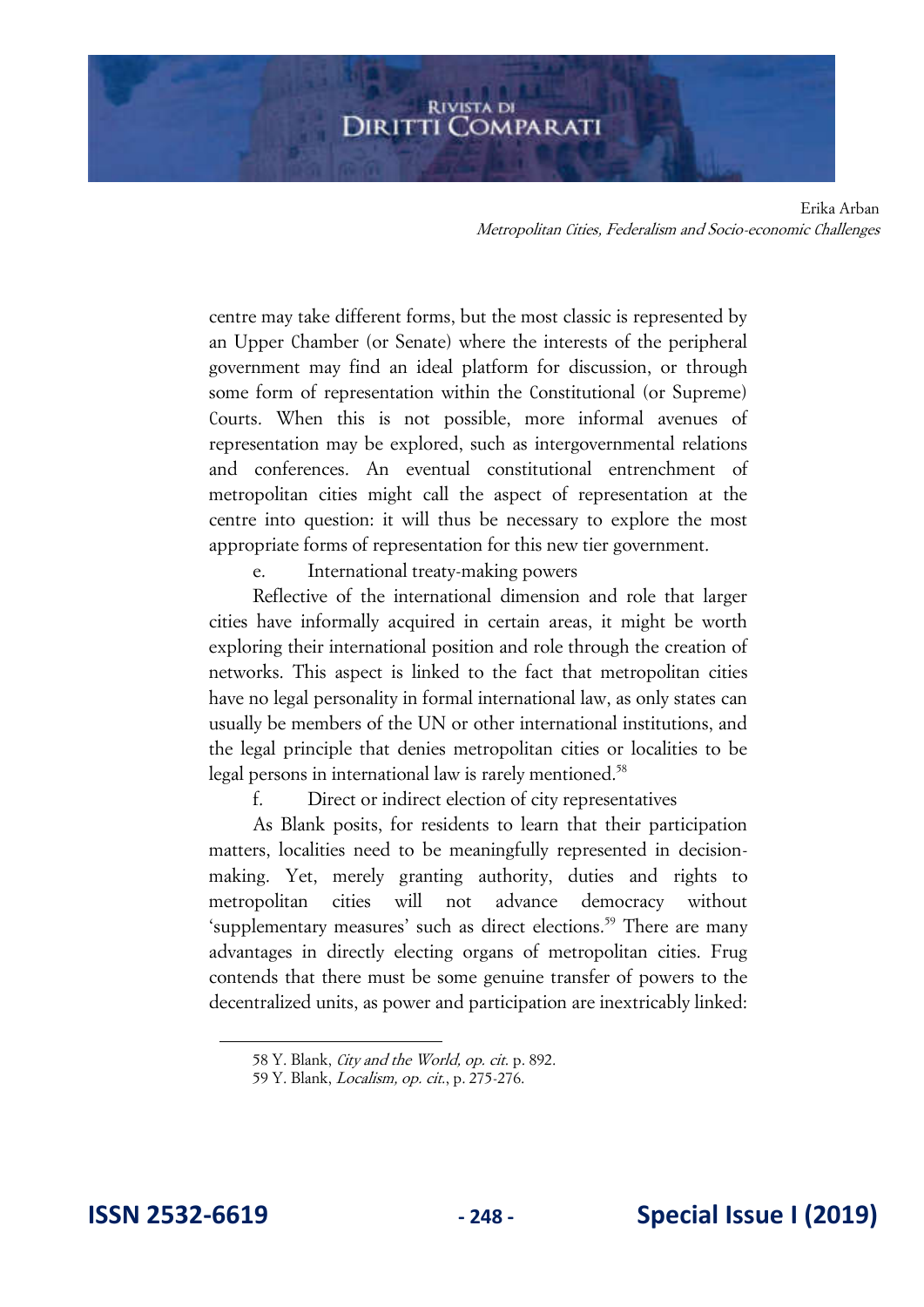centre may take different forms, but the most classic is represented by an Upper Chamber (or Senate) where the interests of the peripheral government may find an ideal platform for discussion, or through some form of representation within the Constitutional (or Supreme) Courts. When this is not possible, more informal avenues of representation may be explored, such as intergovernmental relations and conferences. An eventual constitutional entrenchment of metropolitan cities might call the aspect of representation at the centre into question: it will thus be necessary to explore the most appropriate forms of representation for this new tier government.

e. International treaty-making powers

Reflective of the international dimension and role that larger cities have informally acquired in certain areas, it might be worth exploring their international position and role through the creation of networks. This aspect is linked to the fact that metropolitan cities have no legal personality in formal international law, as only states can usually be members of the UN or other international institutions, and the legal principle that denies metropolitan cities or localities to be legal persons in international law is rarely mentioned.<sup>58</sup>

f. Direct or indirect election of city representatives

As Blank posits, for residents to learn that their participation matters, localities need to be meaningfully represented in decisionmaking. Yet, merely granting authority, duties and rights to metropolitan cities will not advance democracy without 'supplementary measures' such as direct elections.<sup>59</sup> There are many advantages in directly electing organs of metropolitan cities. Frug contends that there must be some genuine transfer of powers to the decentralized units, as power and participation are inextricably linked:

<sup>58</sup> Y. Blank, City and the World, op. cit. p. 892.

<sup>59</sup> Y. Blank, Localism, op. cit., p. 275-276.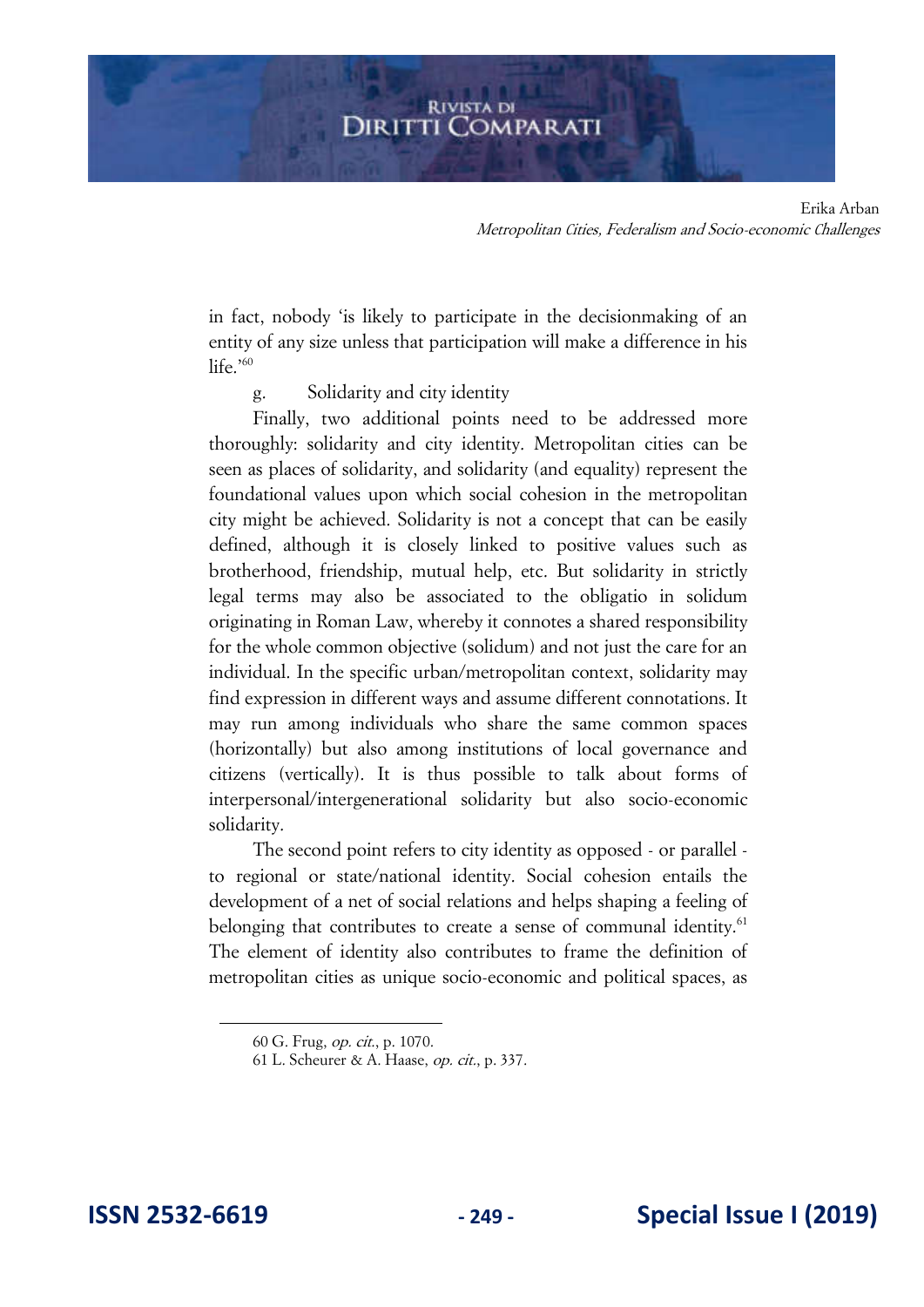in fact, nobody 'is likely to participate in the decisionmaking of an entity of any size unless that participation will make a difference in his life.'<sup>60</sup>

g. Solidarity and city identity

Finally, two additional points need to be addressed more thoroughly: solidarity and city identity. Metropolitan cities can be seen as places of solidarity, and solidarity (and equality) represent the foundational values upon which social cohesion in the metropolitan city might be achieved. Solidarity is not a concept that can be easily defined, although it is closely linked to positive values such as brotherhood, friendship, mutual help, etc. But solidarity in strictly legal terms may also be associated to the obligatio in solidum originating in Roman Law, whereby it connotes a shared responsibility for the whole common objective (solidum) and not just the care for an individual. In the specific urban/metropolitan context, solidarity may find expression in different ways and assume different connotations. It may run among individuals who share the same common spaces (horizontally) but also among institutions of local governance and citizens (vertically). It is thus possible to talk about forms of interpersonal/intergenerational solidarity but also socio-economic solidarity.

The second point refers to city identity as opposed - or parallel to regional or state/national identity. Social cohesion entails the development of a net of social relations and helps shaping a feeling of belonging that contributes to create a sense of communal identity.<sup>61</sup> The element of identity also contributes to frame the definition of metropolitan cities as unique socio-economic and political spaces, as

<sup>60</sup> G. Frug, op. cit., p. 1070.

<sup>61</sup> L. Scheurer & A. Haase, op. cit., p. 337.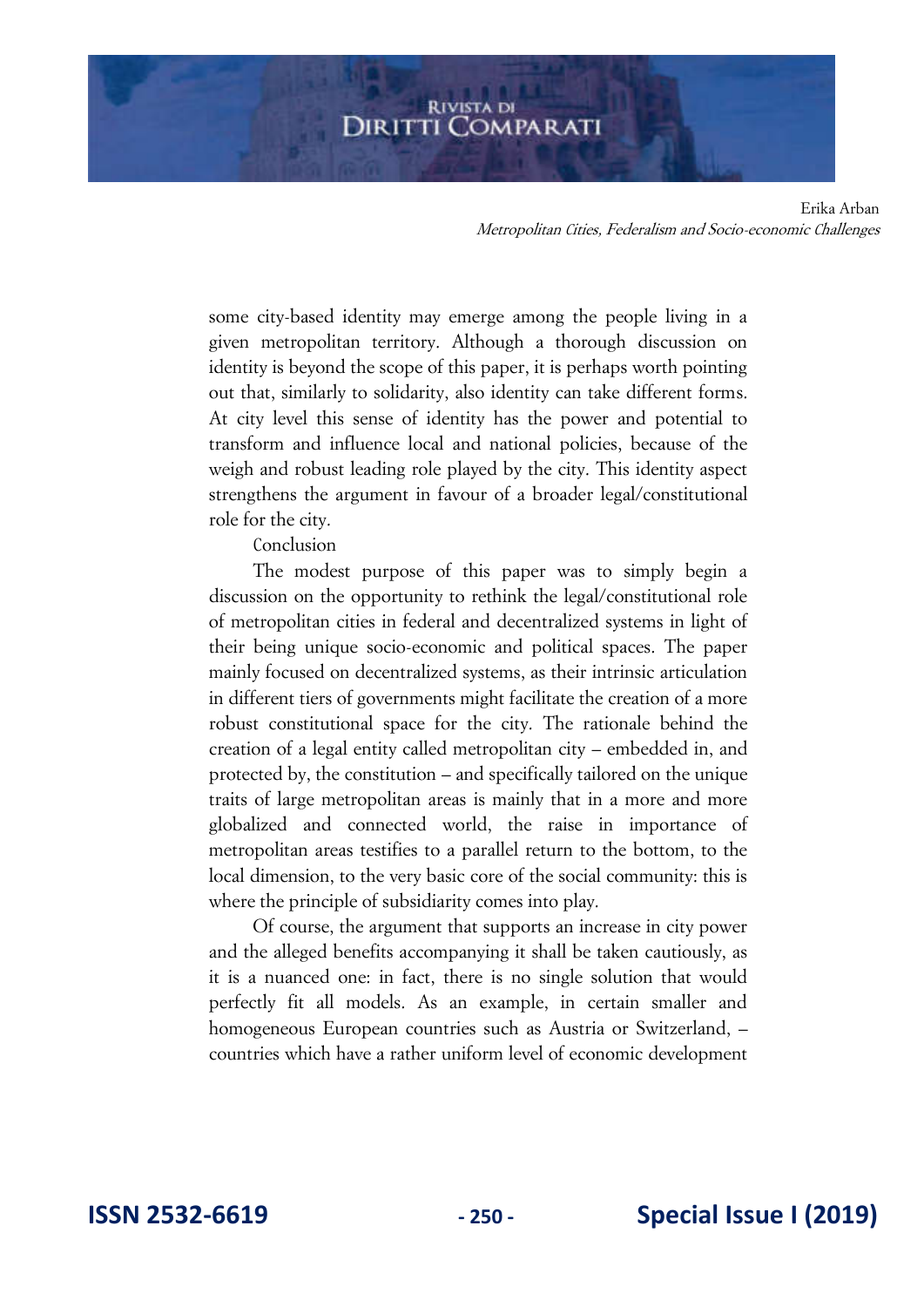some city-based identity may emerge among the people living in a given metropolitan territory. Although a thorough discussion on identity is beyond the scope of this paper, it is perhaps worth pointing out that, similarly to solidarity, also identity can take different forms. At city level this sense of identity has the power and potential to transform and influence local and national policies, because of the weigh and robust leading role played by the city. This identity aspect strengthens the argument in favour of a broader legal/constitutional role for the city.

Conclusion

The modest purpose of this paper was to simply begin a discussion on the opportunity to rethink the legal/constitutional role of metropolitan cities in federal and decentralized systems in light of their being unique socio-economic and political spaces. The paper mainly focused on decentralized systems, as their intrinsic articulation in different tiers of governments might facilitate the creation of a more robust constitutional space for the city. The rationale behind the creation of a legal entity called metropolitan city – embedded in, and protected by, the constitution – and specifically tailored on the unique traits of large metropolitan areas is mainly that in a more and more globalized and connected world, the raise in importance of metropolitan areas testifies to a parallel return to the bottom, to the local dimension, to the very basic core of the social community: this is where the principle of subsidiarity comes into play.

Of course, the argument that supports an increase in city power and the alleged benefits accompanying it shall be taken cautiously, as it is a nuanced one: in fact, there is no single solution that would perfectly fit all models. As an example, in certain smaller and homogeneous European countries such as Austria or Switzerland, – countries which have a rather uniform level of economic development